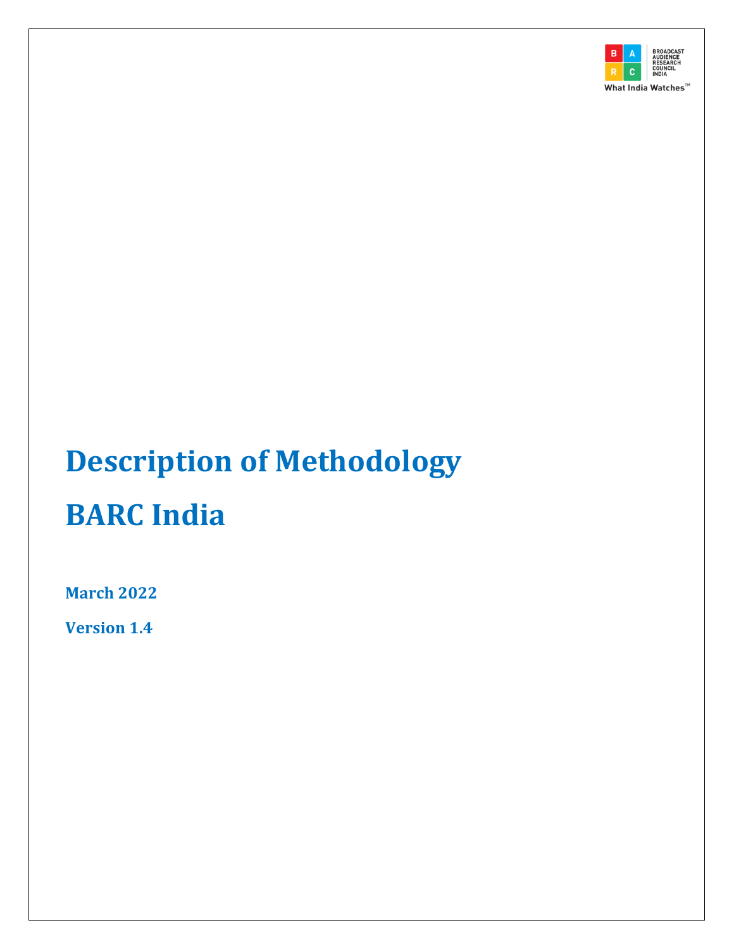

# **Description of Methodology BARC India**

**March 2022**

**Version 1.4**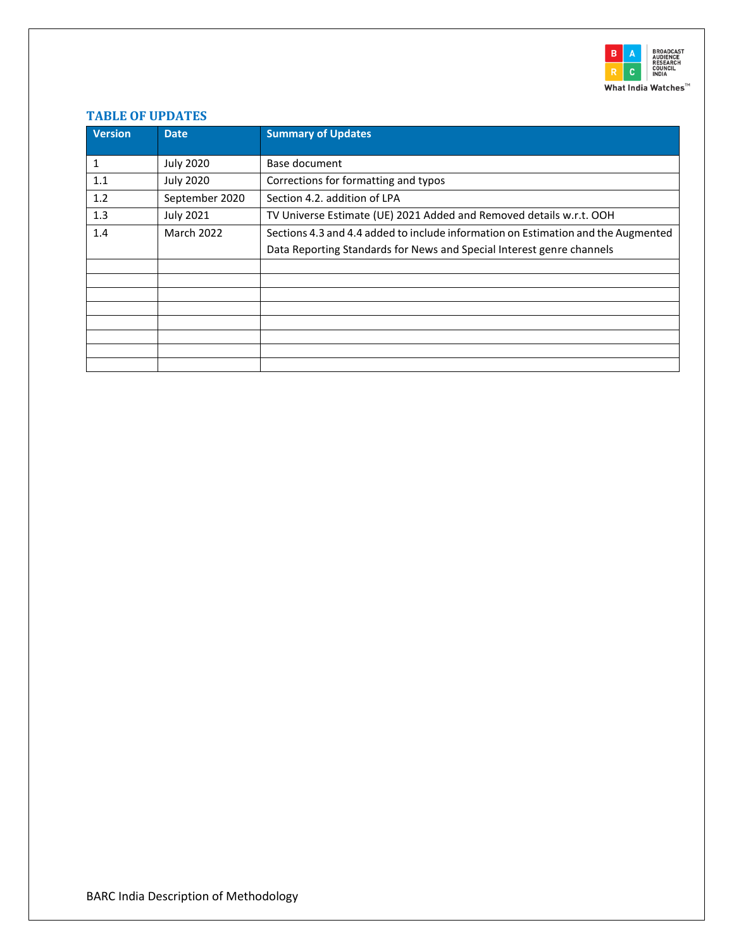

# <span id="page-1-0"></span>**TABLE OF UPDATES**

| <b>Version</b> | <b>Date</b>       | <b>Summary of Updates</b>                                                         |
|----------------|-------------------|-----------------------------------------------------------------------------------|
| 1              | <b>July 2020</b>  | Base document                                                                     |
| 1.1            | <b>July 2020</b>  | Corrections for formatting and typos                                              |
| 1.2            | September 2020    | Section 4.2. addition of LPA                                                      |
| 1.3            | <b>July 2021</b>  | TV Universe Estimate (UE) 2021 Added and Removed details w.r.t. OOH               |
| 1.4            | <b>March 2022</b> | Sections 4.3 and 4.4 added to include information on Estimation and the Augmented |
|                |                   | Data Reporting Standards for News and Special Interest genre channels             |
|                |                   |                                                                                   |
|                |                   |                                                                                   |
|                |                   |                                                                                   |
|                |                   |                                                                                   |
|                |                   |                                                                                   |
|                |                   |                                                                                   |
|                |                   |                                                                                   |
|                |                   |                                                                                   |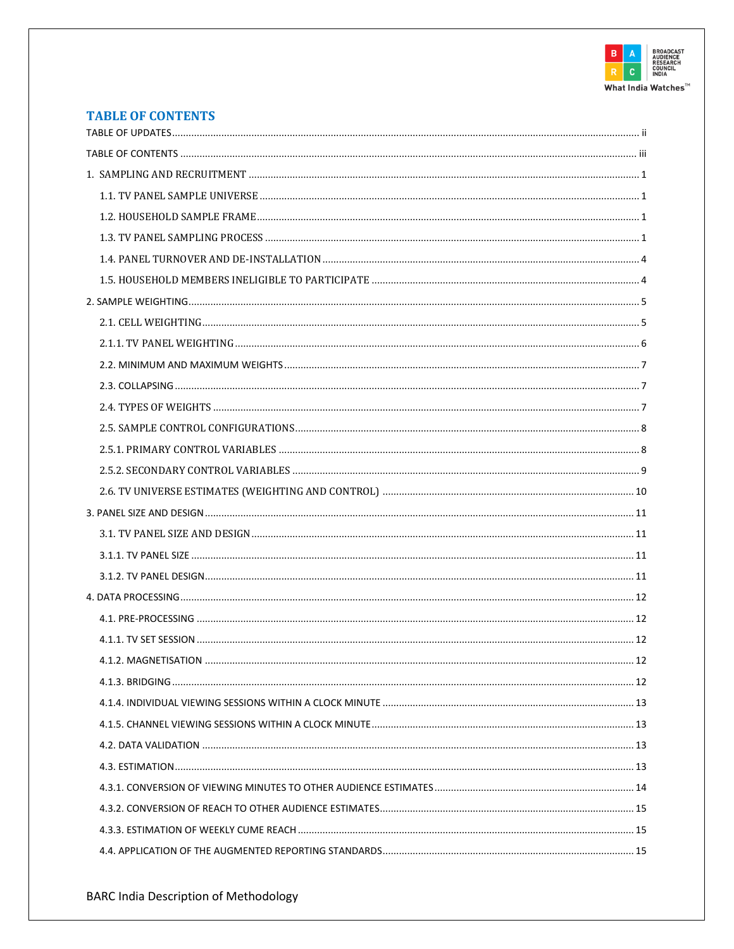

# <span id="page-2-0"></span>**TABLE OF CONTENTS**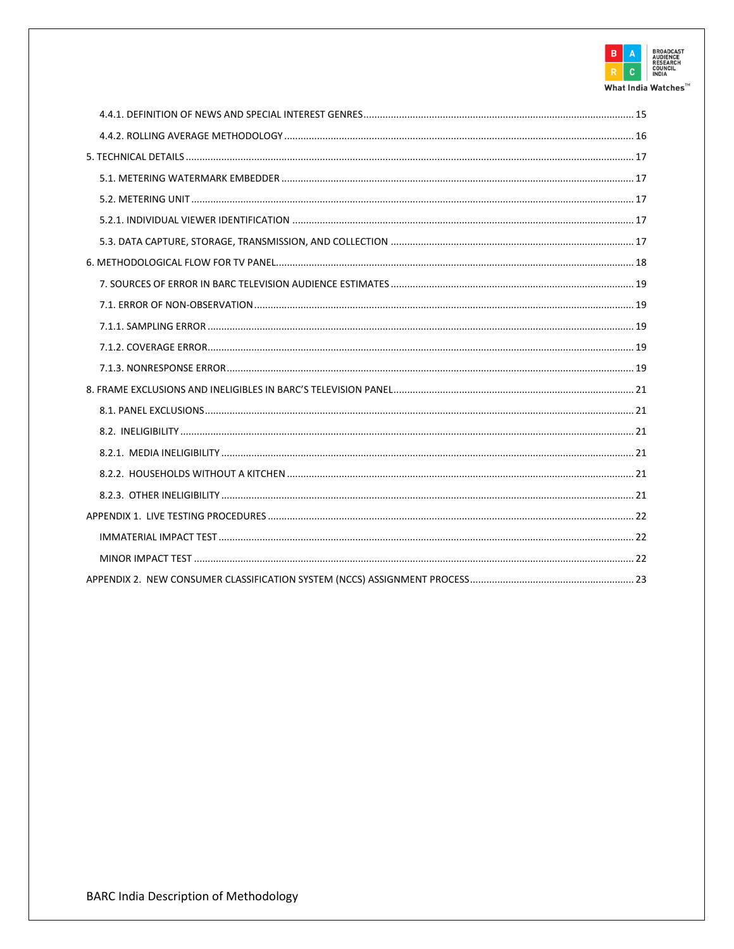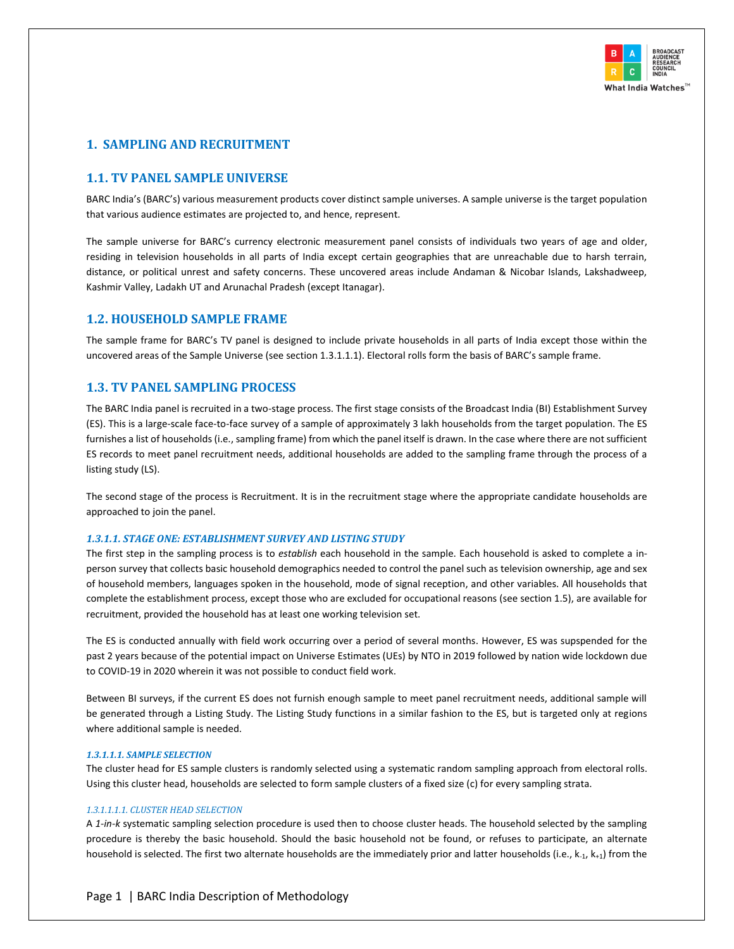

# <span id="page-4-1"></span><span id="page-4-0"></span>**1. SAMPLING AND RECRUITMENT**

# **1.1. TV PANEL SAMPLE UNIVERSE**

BARC India's (BARC's) various measurement products cover distinct sample universes. A sample universe is the target population that various audience estimates are projected to, and hence, represent.

The sample universe for BARC's currency electronic measurement panel consists of individuals two years of age and older, residing in television households in all parts of India except certain geographies that are unreachable due to harsh terrain, distance, or political unrest and safety concerns. These uncovered areas include Andaman & Nicobar Islands, Lakshadweep, Kashmir Valley, Ladakh UT and Arunachal Pradesh (except Itanagar).

# <span id="page-4-2"></span>**1.2. HOUSEHOLD SAMPLE FRAME**

The sample frame for BARC's TV panel is designed to include private households in all parts of India except those within the uncovered areas of the Sample Universe (see section 1.3.1.1.1). Electoral rolls form the basis of BARC's sample frame.

# <span id="page-4-3"></span>**1.3. TV PANEL SAMPLING PROCESS**

The BARC India panel is recruited in a two-stage process. The first stage consists of the Broadcast India (BI) Establishment Survey (ES). This is a large-scale face-to-face survey of a sample of approximately 3 lakh households from the target population. The ES furnishes a list of households (i.e., sampling frame) from which the panel itself is drawn. In the case where there are not sufficient ES records to meet panel recruitment needs, additional households are added to the sampling frame through the process of a listing study (LS).

The second stage of the process is Recruitment. It is in the recruitment stage where the appropriate candidate households are approached to join the panel.

#### *1.3.1.1. STAGE ONE: ESTABLISHMENT SURVEY AND LISTING STUDY*

The first step in the sampling process is to *establish* each household in the sample. Each household is asked to complete a inperson survey that collects basic household demographics needed to control the panel such as television ownership, age and sex of household members, languages spoken in the household, mode of signal reception, and other variables. All households that complete the establishment process, except those who are excluded for occupational reasons (see section 1.5), are available for recruitment, provided the household has at least one working television set.

The ES is conducted annually with field work occurring over a period of several months. However, ES was supspended for the past 2 years because of the potential impact on Universe Estimates (UEs) by NTO in 2019 followed by nation wide lockdown due to COVID-19 in 2020 wherein it was not possible to conduct field work.

Between BI surveys, if the current ES does not furnish enough sample to meet panel recruitment needs, additional sample will be generated through a Listing Study. The Listing Study functions in a similar fashion to the ES, but is targeted only at regions where additional sample is needed.

#### *1.3.1.1.1. SAMPLE SELECTION*

The cluster head for ES sample clusters is randomly selected using a systematic random sampling approach from electoral rolls. Using this cluster head, households are selected to form sample clusters of a fixed size (c) for every sampling strata.

#### *1.3.1.1.1.1. CLUSTER HEAD SELECTION*

A *1-in-k* systematic sampling selection procedure is used then to choose cluster heads. The household selected by the sampling procedure is thereby the basic household. Should the basic household not be found, or refuses to participate, an alternate household is selected. The first two alternate households are the immediately prior and latter households (i.e.,  $k_{-1}$ ,  $k_{+1}$ ) from the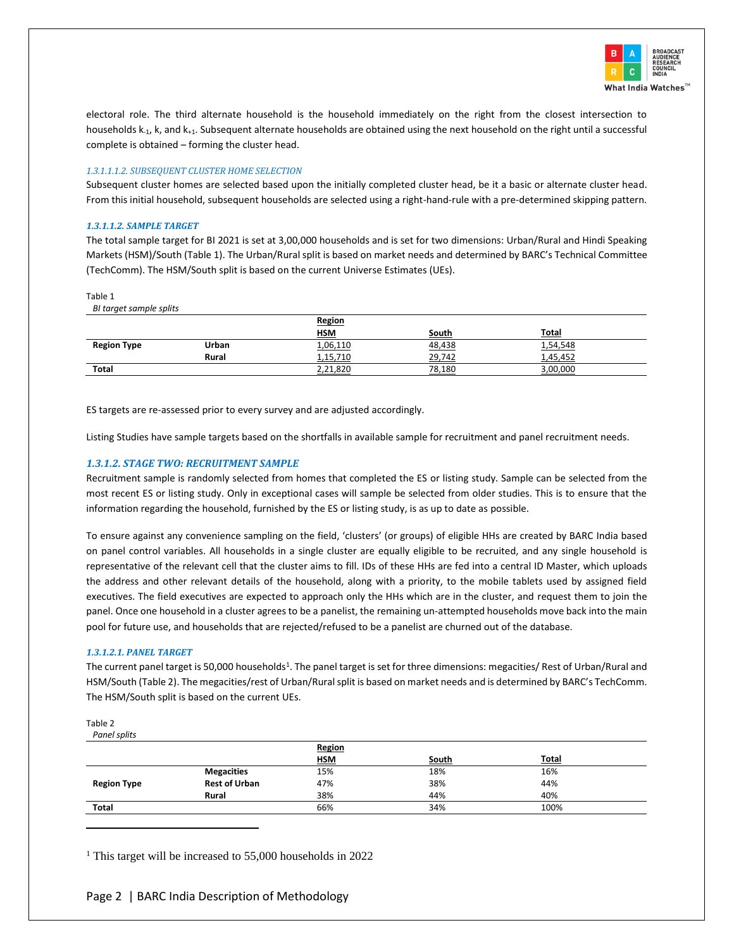

electoral role. The third alternate household is the household immediately on the right from the closest intersection to households k-1, k, and k+1. Subsequent alternate households are obtained using the next household on the right until a successful complete is obtained – forming the cluster head.

#### *1.3.1.1.1.2. SUBSEQUENT CLUSTER HOME SELECTION*

Subsequent cluster homes are selected based upon the initially completed cluster head, be it a basic or alternate cluster head. From this initial household, subsequent households are selected using a right-hand-rule with a pre-determined skipping pattern.

#### *1.3.1.1.2. SAMPLE TARGET*

The total sample target for BI 2021 is set at 3,00,000 households and is set for two dimensions: Urban/Rural and Hindi Speaking Markets (HSM)/South [\(Table 1\)](#page-5-0). The Urban/Rural split is based on market needs and determined by BARC's Technical Committee (TechComm). The HSM/South split is based on the current Universe Estimates (UEs).

#### <span id="page-5-0"></span>Table 1

*BI target sample splits*

|                    |       | <b>Region</b> |        |              |
|--------------------|-------|---------------|--------|--------------|
|                    |       | <b>HSM</b>    | South  | <b>Total</b> |
| <b>Region Type</b> | Urban | 1,06,110      | 48,438 | 1,54,548     |
|                    | Rural | 1,15,710      | 29,742 | 1,45,452     |
| <b>Total</b>       |       | 2,21,820      | 78,180 | 3,00,000     |

ES targets are re-assessed prior to every survey and are adjusted accordingly.

Listing Studies have sample targets based on the shortfalls in available sample for recruitment and panel recruitment needs.

#### *1.3.1.2. STAGE TWO: RECRUITMENT SAMPLE*

Recruitment sample is randomly selected from homes that completed the ES or listing study. Sample can be selected from the most recent ES or listing study. Only in exceptional cases will sample be selected from older studies. This is to ensure that the information regarding the household, furnished by the ES or listing study, is as up to date as possible.

To ensure against any convenience sampling on the field, 'clusters' (or groups) of eligible HHs are created by BARC India based on panel control variables. All households in a single cluster are equally eligible to be recruited, and any single household is representative of the relevant cell that the cluster aims to fill. IDs of these HHs are fed into a central ID Master, which uploads the address and other relevant details of the household, along with a priority, to the mobile tablets used by assigned field executives. The field executives are expected to approach only the HHs which are in the cluster, and request them to join the panel. Once one household in a cluster agrees to be a panelist, the remaining un-attempted households move back into the main pool for future use, and households that are rejected/refused to be a panelist are churned out of the database.

#### *1.3.1.2.1. PANEL TARGET*

The current panel target is 50,000 households<sup>1</sup>. The panel target is set for three dimensions: megacities/ Rest of Urban/Rural and HSM/South [\(Table 2\)](#page-5-1). The megacities/rest of Urban/Rural split is based on market needs and is determined by BARC's TechComm. The HSM/South split is based on the current UEs.

<span id="page-5-1"></span>

| Table 2 |                         |
|---------|-------------------------|
|         | $\sim$ $\sim$ 12 $\sim$ |

| Punei spiits       |                      |            |       |              |  |
|--------------------|----------------------|------------|-------|--------------|--|
|                    |                      | Region     |       |              |  |
|                    |                      | <b>HSM</b> | South | <b>Total</b> |  |
|                    | <b>Megacities</b>    | 15%        | 18%   | 16%          |  |
| <b>Region Type</b> | <b>Rest of Urban</b> | 47%        | 38%   | 44%          |  |
|                    | Rural                | 38%        | 44%   | 40%          |  |
| <b>Total</b>       |                      | 66%        | 34%   | 100%         |  |

<sup>1</sup> This target will be increased to 55,000 households in 2022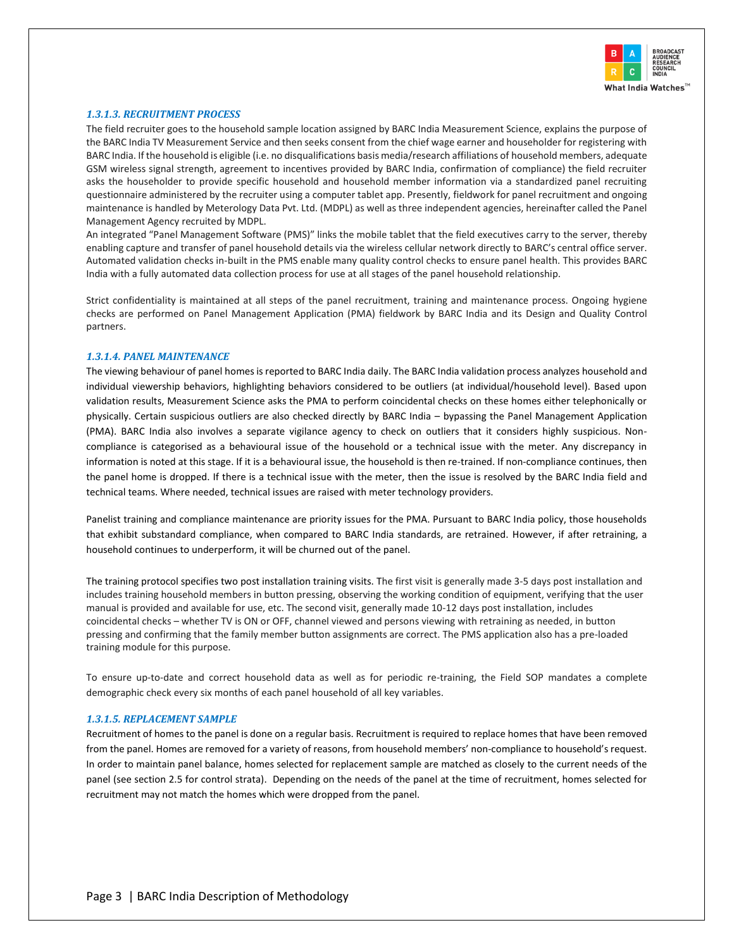

#### *1.3.1.3. RECRUITMENT PROCESS*

The field recruiter goes to the household sample location assigned by BARC India Measurement Science, explains the purpose of the BARC India TV Measurement Service and then seeks consent from the chief wage earner and householder for registering with BARC India. If the household is eligible (i.e. no disqualifications basis media/research affiliations of household members, adequate GSM wireless signal strength, agreement to incentives provided by BARC India, confirmation of compliance) the field recruiter asks the householder to provide specific household and household member information via a standardized panel recruiting questionnaire administered by the recruiter using a computer tablet app. Presently, fieldwork for panel recruitment and ongoing maintenance is handled by Meterology Data Pvt. Ltd. (MDPL) as well as three independent agencies, hereinafter called the Panel Management Agency recruited by MDPL.

An integrated "Panel Management Software (PMS)" links the mobile tablet that the field executives carry to the server, thereby enabling capture and transfer of panel household details via the wireless cellular network directly to BARC's central office server. Automated validation checks in-built in the PMS enable many quality control checks to ensure panel health. This provides BARC India with a fully automated data collection process for use at all stages of the panel household relationship.

Strict confidentiality is maintained at all steps of the panel recruitment, training and maintenance process. Ongoing hygiene checks are performed on Panel Management Application (PMA) fieldwork by BARC India and its Design and Quality Control partners.

#### *1.3.1.4. PANEL MAINTENANCE*

The viewing behaviour of panel homes is reported to BARC India daily. The BARC India validation process analyzes household and individual viewership behaviors, highlighting behaviors considered to be outliers (at individual/household level). Based upon validation results, Measurement Science asks the PMA to perform coincidental checks on these homes either telephonically or physically. Certain suspicious outliers are also checked directly by BARC India – bypassing the Panel Management Application (PMA). BARC India also involves a separate vigilance agency to check on outliers that it considers highly suspicious. Noncompliance is categorised as a behavioural issue of the household or a technical issue with the meter. Any discrepancy in information is noted at this stage. If it is a behavioural issue, the household is then re-trained. If non-compliance continues, then the panel home is dropped. If there is a technical issue with the meter, then the issue is resolved by the BARC India field and technical teams. Where needed, technical issues are raised with meter technology providers.

Panelist training and compliance maintenance are priority issues for the PMA. Pursuant to BARC India policy, those households that exhibit substandard compliance, when compared to BARC India standards, are retrained. However, if after retraining, a household continues to underperform, it will be churned out of the panel.

The training protocol specifies two post installation training visits. The first visit is generally made 3-5 days post installation and includes training household members in button pressing, observing the working condition of equipment, verifying that the user manual is provided and available for use, etc. The second visit, generally made 10-12 days post installation, includes coincidental checks – whether TV is ON or OFF, channel viewed and persons viewing with retraining as needed, in button pressing and confirming that the family member button assignments are correct. The PMS application also has a pre-loaded training module for this purpose.

To ensure up-to-date and correct household data as well as for periodic re-training, the Field SOP mandates a complete demographic check every six months of each panel household of all key variables.

#### *1.3.1.5. REPLACEMENT SAMPLE*

Recruitment of homes to the panel is done on a regular basis. Recruitment is required to replace homes that have been removed from the panel. Homes are removed for a variety of reasons, from household members' non-compliance to household's request. In order to maintain panel balance, homes selected for replacement sample are matched as closely to the current needs of the panel (see section 2.5 for control strata). Depending on the needs of the panel at the time of recruitment, homes selected for recruitment may not match the homes which were dropped from the panel.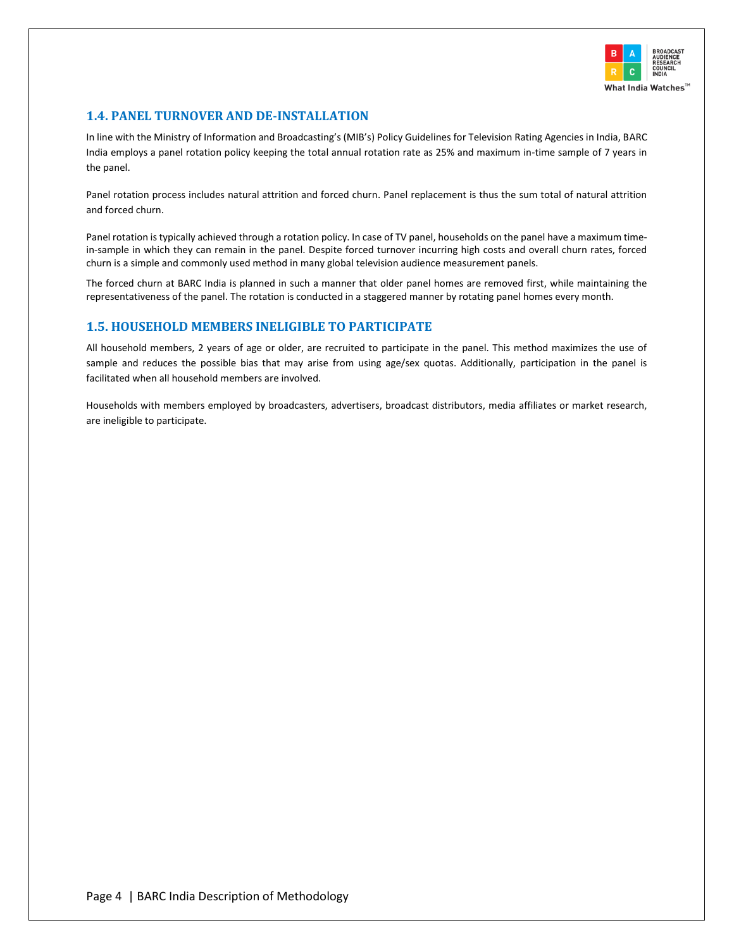

# <span id="page-7-0"></span>**1.4. PANEL TURNOVER AND DE-INSTALLATION**

In line with the Ministry of Information and Broadcasting's (MIB's) Policy Guidelines for Television Rating Agencies in India, BARC India employs a panel rotation policy keeping the total annual rotation rate as 25% and maximum in-time sample of 7 years in the panel.

Panel rotation process includes natural attrition and forced churn. Panel replacement is thus the sum total of natural attrition and forced churn.

Panel rotation is typically achieved through a rotation policy. In case of TV panel, households on the panel have a maximum timein-sample in which they can remain in the panel. Despite forced turnover incurring high costs and overall churn rates, forced churn is a simple and commonly used method in many global television audience measurement panels.

The forced churn at BARC India is planned in such a manner that older panel homes are removed first, while maintaining the representativeness of the panel. The rotation is conducted in a staggered manner by rotating panel homes every month.

# <span id="page-7-1"></span>**1.5. HOUSEHOLD MEMBERS INELIGIBLE TO PARTICIPATE**

All household members, 2 years of age or older, are recruited to participate in the panel. This method maximizes the use of sample and reduces the possible bias that may arise from using age/sex quotas. Additionally, participation in the panel is facilitated when all household members are involved.

Households with members employed by broadcasters, advertisers, broadcast distributors, media affiliates or market research, are ineligible to participate.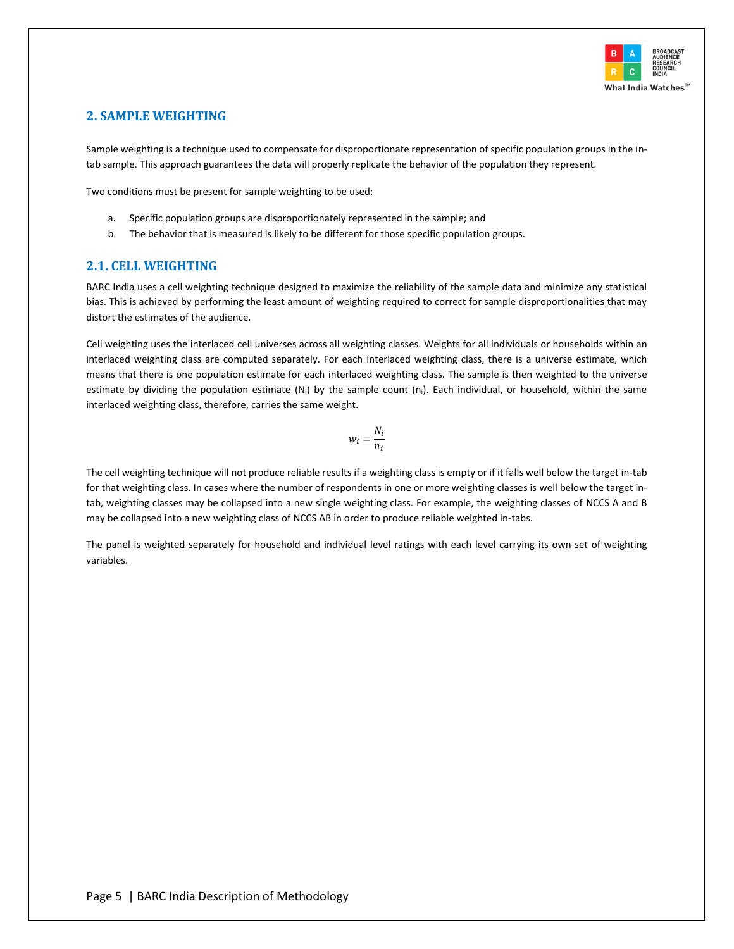

# <span id="page-8-0"></span>**2. SAMPLE WEIGHTING**

Sample weighting is a technique used to compensate for disproportionate representation of specific population groups in the intab sample. This approach guarantees the data will properly replicate the behavior of the population they represent.

Two conditions must be present for sample weighting to be used:

- a. Specific population groups are disproportionately represented in the sample; and
- b. The behavior that is measured is likely to be different for those specific population groups.

# <span id="page-8-1"></span>**2.1. CELL WEIGHTING**

BARC India uses a cell weighting technique designed to maximize the reliability of the sample data and minimize any statistical bias. This is achieved by performing the least amount of weighting required to correct for sample disproportionalities that may distort the estimates of the audience.

Cell weighting uses the interlaced cell universes across all weighting classes. Weights for all individuals or households within an interlaced weighting class are computed separately. For each interlaced weighting class, there is a universe estimate, which means that there is one population estimate for each interlaced weighting class. The sample is then weighted to the universe estimate by dividing the population estimate  $(N_i)$  by the sample count  $(n_i)$ . Each individual, or household, within the same interlaced weighting class, therefore, carries the same weight.

$$
w_i = \frac{N_i}{n_i}
$$

The cell weighting technique will not produce reliable results if a weighting class is empty or if it falls well below the target in-tab for that weighting class. In cases where the number of respondents in one or more weighting classes is well below the target intab, weighting classes may be collapsed into a new single weighting class. For example, the weighting classes of NCCS A and B may be collapsed into a new weighting class of NCCS AB in order to produce reliable weighted in-tabs.

The panel is weighted separately for household and individual level ratings with each level carrying its own set of weighting variables.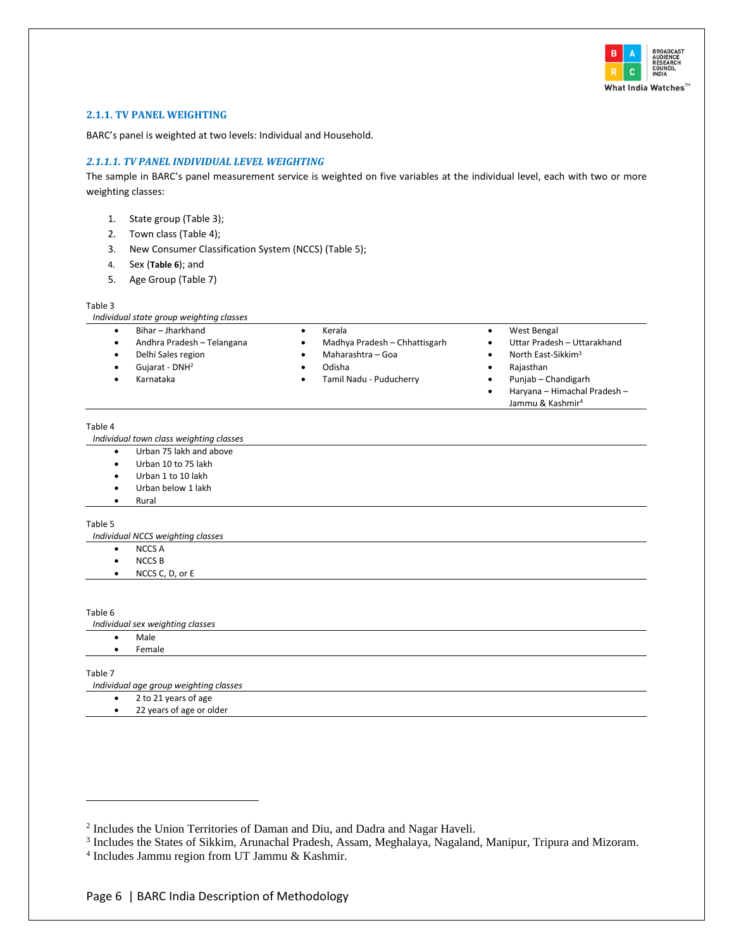

#### <span id="page-9-0"></span>**2.1.1. TV PANEL WEIGHTING**

BARC's panel is weighted at two levels: Individual and Household.

#### *2.1.1.1. TV PANEL INDIVIDUAL LEVEL WEIGHTING*

The sample in BARC's panel measurement service is weighted on five variables at the individual level, each with two or more weighting classes:

- 1. State group [\(Table 3\)](#page-9-1);
- 2. Town class [\(Table 4\)](#page-9-2);
- 3. New Consumer Classification System (NCCS) [\(Table 5\)](#page-9-3);
- 4. Sex (**[Table](#page-9-4) 6**); and
- 5. Age Group [\(Table 7\)](#page-9-5)

#### <span id="page-9-1"></span>Table 3

| Individual state group weighting classes |  |  |
|------------------------------------------|--|--|
|                                          |  |  |

- Andhra Pradesh Telangana
- Delhi Sales region
- Gujarat DNH<sup>2</sup>
- Karnataka

• Maharashtra – Goa

• Kerala

• Odisha • Tamil Nadu - Puducherry

• Madhya Pradesh – Chhattisgarh

- Uttar Pradesh Uttarakhand North East-Sikkim<sup>3</sup>
- Rajasthan

• West Bengal

• Punjab – Chandigarh • Haryana – Himachal Pradesh – Jammu & Kashmir<sup>4</sup>

<span id="page-9-2"></span>Table 4

*Individual town class weighting classes*

- Urban 75 lakh and above
- Urban 10 to 75 lakh
- Urban 1 to 10 lakh
- Urban below 1 lakh
- Rural

#### <span id="page-9-3"></span>Table 5

*Individual NCCS weighting classes*

- NCCS A
- NCCS B
- NCCS C, D, or E

<span id="page-9-4"></span>Table 6

*Individual sex weighting classes*

- Male
- Female

<span id="page-9-5"></span>Table 7

*Individual age group weighting classes*

- 2 to 21 years of age
- 22 years of age or older

<sup>&</sup>lt;sup>2</sup> Includes the Union Territories of Daman and Diu, and Dadra and Nagar Haveli.

<sup>3</sup> Includes the States of Sikkim, Arunachal Pradesh, Assam, Meghalaya, Nagaland, Manipur, Tripura and Mizoram.

<sup>4</sup> Includes Jammu region from UT Jammu & Kashmir.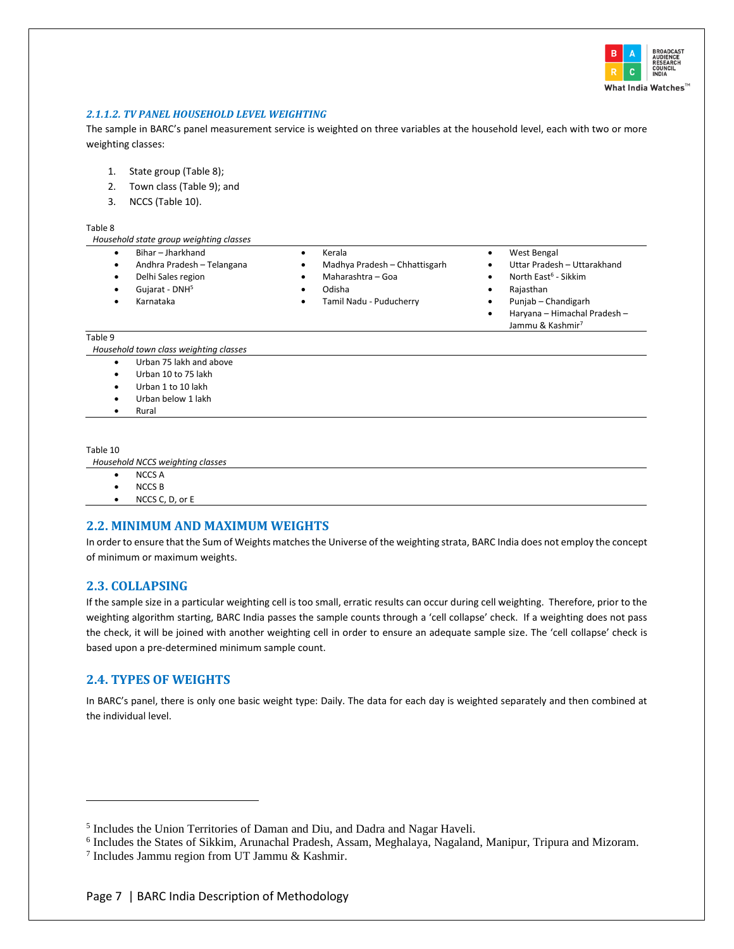

## *2.1.1.2. TV PANEL HOUSEHOLD LEVEL WEIGHTING*

The sample in BARC's panel measurement service is weighted on three variables at the household level, each with two or more weighting classes:

- 1. State group [\(Table 8\)](#page-10-3);
- 2. Town class [\(Table 9\)](#page-10-4); and
- 3. NCCS [\(Table 10\)](#page-10-5).

#### <span id="page-10-3"></span>Table 8

| ι αυιτ σ                                                                        |                                                              |                                                                                                                 |
|---------------------------------------------------------------------------------|--------------------------------------------------------------|-----------------------------------------------------------------------------------------------------------------|
| Household state group weighting classes                                         |                                                              |                                                                                                                 |
| Bihar - Jharkhand<br>Andhra Pradesh - Telangana<br>٠<br>Delhi Sales region<br>٠ | Kerala<br>Madhya Pradesh - Chhattisgarh<br>Maharashtra - Goa | West Bengal<br>٠<br>Uttar Pradesh - Uttarakhand<br>North East <sup>6</sup> - Sikkim<br>٠                        |
| Gujarat - DNH <sup>5</sup><br>Karnataka                                         | Odisha<br>Tamil Nadu - Puducherry                            | Rajasthan<br>٠<br>Punjab – Chandigarh<br>٠<br>Haryana - Himachal Pradesh -<br>٠<br>Jammu & Kashmir <sup>7</sup> |
| Table 9                                                                         |                                                              |                                                                                                                 |

<span id="page-10-4"></span>*Household town class weighting classes*

- Urban 75 lakh and above
- Urban 10 to 75 lakh
- Urban 1 to 10 lakh
- Urban below 1 lakh
- Rural

#### <span id="page-10-5"></span>Table 10

*Household NCCS weighting classes*

- NCCS A
- NCCS B
- NCCS C, D, or E

#### <span id="page-10-0"></span>**2.2. MINIMUM AND MAXIMUM WEIGHTS**

In order to ensure that the Sum of Weights matches the Universe of the weighting strata, BARC India does not employ the concept of minimum or maximum weights.

#### <span id="page-10-1"></span>**2.3. COLLAPSING**

If the sample size in a particular weighting cell is too small, erratic results can occur during cell weighting. Therefore, prior to the weighting algorithm starting, BARC India passes the sample counts through a 'cell collapse' check. If a weighting does not pass the check, it will be joined with another weighting cell in order to ensure an adequate sample size. The 'cell collapse' check is based upon a pre-determined minimum sample count.

# <span id="page-10-2"></span>**2.4. TYPES OF WEIGHTS**

In BARC's panel, there is only one basic weight type: Daily. The data for each day is weighted separately and then combined at the individual level.

<sup>&</sup>lt;sup>5</sup> Includes the Union Territories of Daman and Diu, and Dadra and Nagar Haveli.

<sup>6</sup> Includes the States of Sikkim, Arunachal Pradesh, Assam, Meghalaya, Nagaland, Manipur, Tripura and Mizoram.

<sup>7</sup> Includes Jammu region from UT Jammu & Kashmir.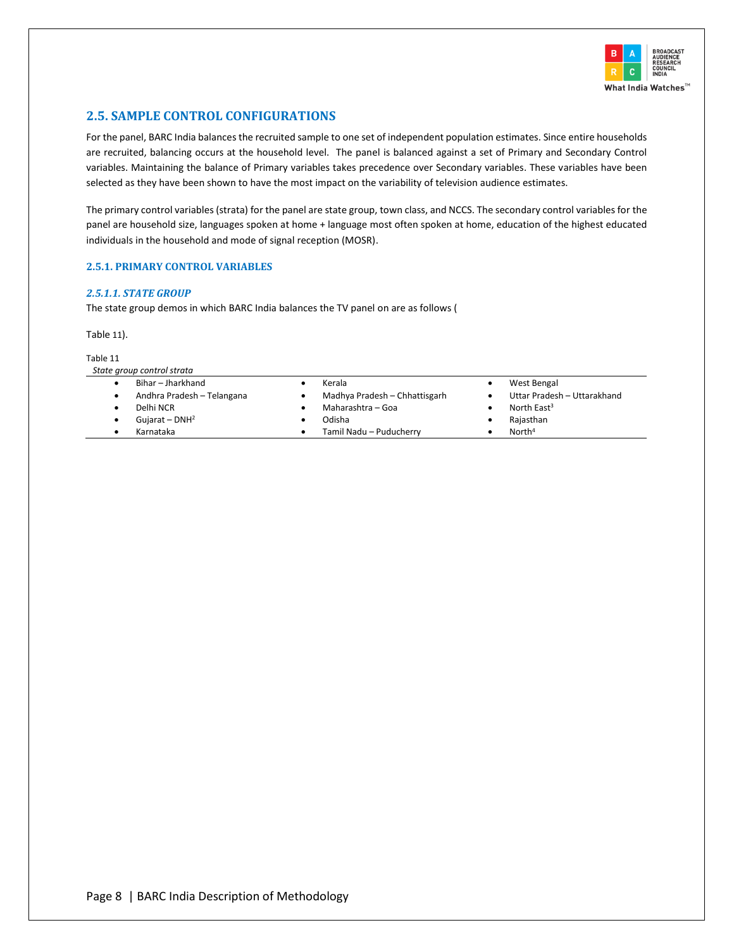

# <span id="page-11-0"></span>**2.5. SAMPLE CONTROL CONFIGURATIONS**

For the panel, BARC India balances the recruited sample to one set of independent population estimates. Since entire households are recruited, balancing occurs at the household level. The panel is balanced against a set of Primary and Secondary Control variables. Maintaining the balance of Primary variables takes precedence over Secondary variables. These variables have been selected as they have been shown to have the most impact on the variability of television audience estimates.

The primary control variables (strata) for the panel are state group, town class, and NCCS. The secondary control variables for the panel are household size, languages spoken at home + language most often spoken at home, education of the highest educated individuals in the household and mode of signal reception (MOSR).

## <span id="page-11-1"></span>**2.5.1. PRIMARY CONTROL VARIABLES**

#### *2.5.1.1. STATE GROUP*

The state group demos in which BARC India balances the TV panel on are as follows [\(](#page-11-2)

<span id="page-11-2"></span>[Table](#page-11-2) 11).

Table 11

| Bihar – Jharkhand          | Kerala                        | West Bengal                 |
|----------------------------|-------------------------------|-----------------------------|
| Andhra Pradesh - Telangana | Madhya Pradesh - Chhattisgarh | Uttar Pradesh - Uttarakhand |
| Delhi NCR                  | Maharashtra - Goa             | North East $3$              |
| Gujarat – $DNH2$           | Odisha                        | Rajasthan                   |
| Karnataka                  | Tamil Nadu - Puducherry       | North <sup>4</sup>          |
|                            |                               |                             |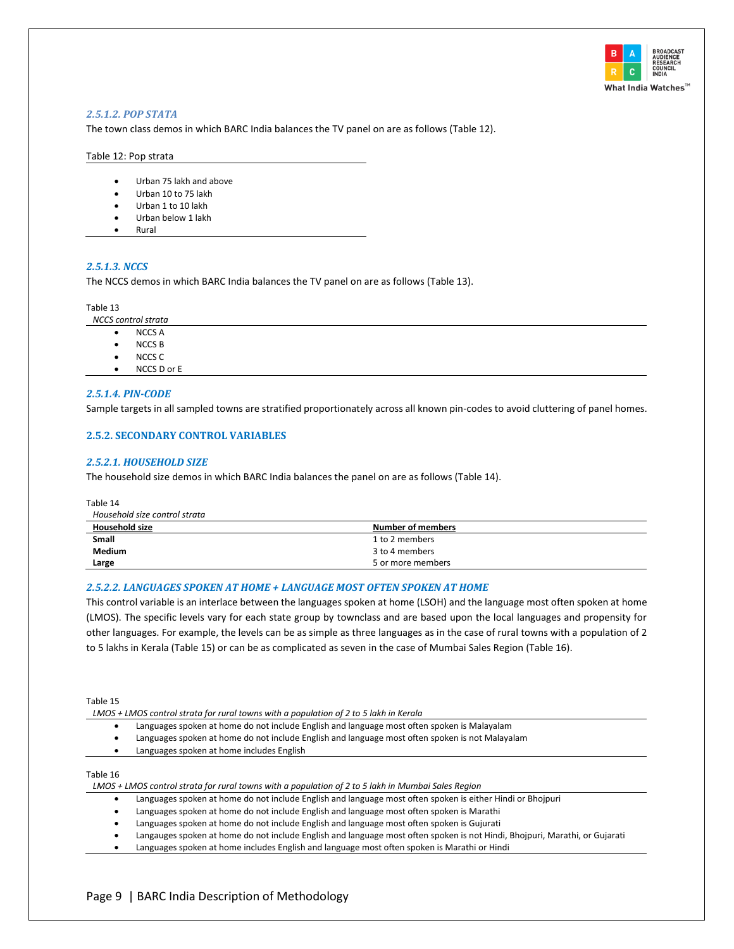

#### *2.5.1.2. POP STATA*

The town class demos in which BARC India balances the TV panel on are as follows [\(Table 12\)](#page-12-1).

#### <span id="page-12-1"></span>Table 12: Pop strata

- Urban 75 lakh and above
- Urban 10 to 75 lakh
- Urban 1 to 10 lakh
- Urban below 1 lakh
- Rural

#### *2.5.1.3. NCCS*

The NCCS demos in which BARC India balances the TV panel on are as follows [\(Table 13\)](#page-12-2).

#### <span id="page-12-2"></span>Table 13

*NCCS control strata*

- NCCS A
- NCCS B
- NCCS C
- NCCS D or E

## *2.5.1.4. PIN-CODE*

Sample targets in all sampled towns are stratified proportionately across all known pin-codes to avoid cluttering of panel homes.

#### <span id="page-12-0"></span>**2.5.2. SECONDARY CONTROL VARIABLES**

#### *2.5.2.1. HOUSEHOLD SIZE*

The household size demos in which BARC India balances the panel on are as follows [\(Table 14\)](#page-12-3).

<span id="page-12-3"></span>Table 14

| Household size control strata |                   |  |
|-------------------------------|-------------------|--|
| <b>Household size</b>         | Number of members |  |
| <b>Small</b>                  | 1 to 2 members    |  |
| <b>Medium</b>                 | 3 to 4 members    |  |
| Large                         | 5 or more members |  |

#### *2.5.2.2. LANGUAGES SPOKEN AT HOME + LANGUAGE MOST OFTEN SPOKEN AT HOME*

This control variable is an interlace between the languages spoken at home (LSOH) and the language most often spoken at home (LMOS). The specific levels vary for each state group by townclass and are based upon the local languages and propensity for other languages. For example, the levels can be as simple as three languages as in the case of rural towns with a population of 2 to 5 lakhs in Kerala [\(Table 15\)](#page-12-4) or can be as complicated as seven in the case of Mumbai Sales Region [\(Table 16\)](#page-12-5).

<span id="page-12-4"></span>Table 15

*LMOS + LMOS control strata for rural towns with a population of 2 to 5 lakh in Kerala*

- Languages spoken at home do not include English and language most often spoken is Malayalam
- Languages spoken at home do not include English and language most often spoken is not Malayalam
- Languages spoken at home includes English

#### <span id="page-12-5"></span>Table 16

*LMOS + LMOS control strata for rural towns with a population of 2 to 5 lakh in Mumbai Sales Region*

- Languages spoken at home do not include English and language most often spoken is either Hindi or Bhojpuri
- Languages spoken at home do not include English and language most often spoken is Marathi
- Languages spoken at home do not include English and language most often spoken is Gujurati
- Langauges spoken at home do not include English and language most often spoken is not Hindi, Bhojpuri, Marathi, or Gujarati
- Languages spoken at home includes English and language most often spoken is Marathi or Hindi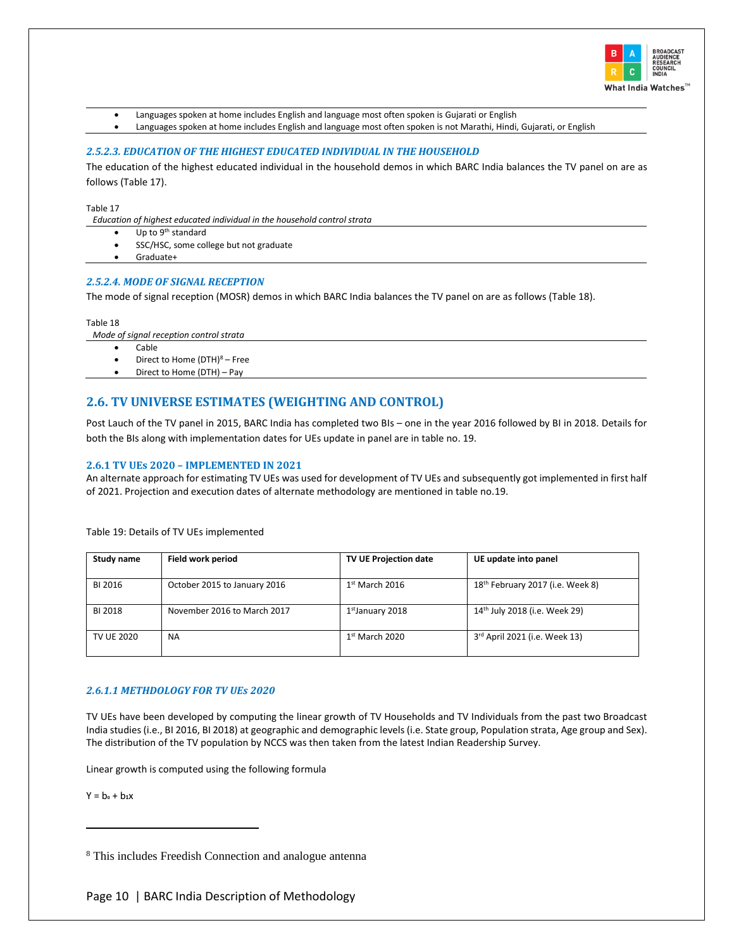

- Languages spoken at home includes English and language most often spoken is Gujarati or English
- Languages spoken at home includes English and language most often spoken is not Marathi, Hindi, Gujarati, or English

#### *2.5.2.3. EDUCATION OF THE HIGHEST EDUCATED INDIVIDUAL IN THE HOUSEHOLD*

The education of the highest educated individual in the household demos in which BARC India balances the TV panel on are as follows [\(Table 17\)](#page-13-1).

<span id="page-13-1"></span>Table 17

*Education of highest educated individual in the household control strata*

- Up to 9<sup>th</sup> standard
- SSC/HSC, some college but not graduate
- Graduate+

#### *2.5.2.4. MODE OF SIGNAL RECEPTION*

The mode of signal reception (MOSR) demos in which BARC India balances the TV panel on are as follows [\(Table 18\)](#page-13-2).

<span id="page-13-2"></span>Table 18

*Mode of signal reception control strata*

- Cable
- Direct to Home  $(DTH)^8$  Free • Direct to Home (DTH) – Pay

# <span id="page-13-0"></span>**2.6. TV UNIVERSE ESTIMATES (WEIGHTING AND CONTROL)**

Post Lauch of the TV panel in 2015, BARC India has completed two BIs – one in the year 2016 followed by BI in 2018. Details for both the BIs along with implementation dates for UEs update in panel are in table no. 19.

#### **2.6.1 TV UEs 2020 – IMPLEMENTED IN 2021**

An alternate approach for estimating TV UEs was used for development of TV UEs and subsequently got implemented in first half of 2021. Projection and execution dates of alternate methodology are mentioned in table no.19.

| Study name | Field work period            | <b>TV UE Projection date</b> | UE update into panel             |
|------------|------------------------------|------------------------------|----------------------------------|
| BI 2016    | October 2015 to January 2016 | $1st$ March 2016             | 18th February 2017 (i.e. Week 8) |
| BI 2018    | November 2016 to March 2017  | 1st January 2018             | 14th July 2018 (i.e. Week 29)    |
| TV UE 2020 | <b>NA</b>                    | $1st$ March 2020             | 3rd April 2021 (i.e. Week 13)    |

Table 19: Details of TV UEs implemented

#### *2.6.1.1 METHDOLOGY FOR TV UEs 2020*

TV UEs have been developed by computing the linear growth of TV Households and TV Individuals from the past two Broadcast India studies (i.e., BI 2016, BI 2018) at geographic and demographic levels (i.e. State group, Population strata, Age group and Sex). The distribution of the TV population by NCCS was then taken from the latest Indian Readership Survey.

Linear growth is computed using the following formula

 $Y = b_0 + b_1x$ 

<sup>8</sup> This includes Freedish Connection and analogue antenna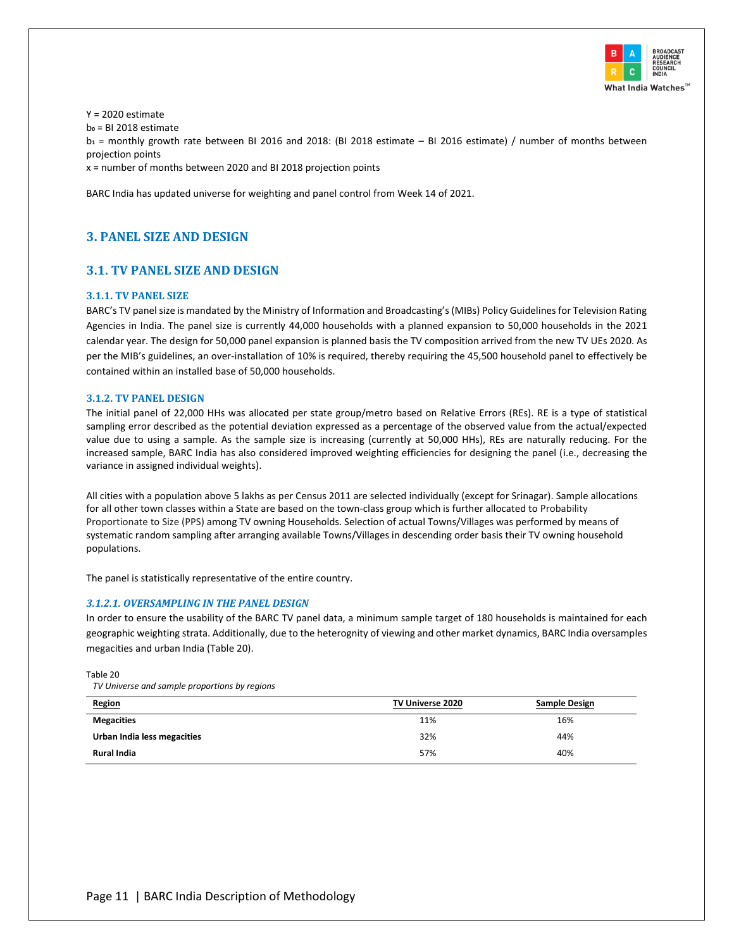

 $Y = 2020$  estimate b**<sup>0</sup>** = BI 2018 estimate b**<sup>1</sup>** = monthly growth rate between BI 2016 and 2018: (BI 2018 estimate – BI 2016 estimate) / number of months between projection points

x = number of months between 2020 and BI 2018 projection points

<span id="page-14-0"></span>BARC India has updated universe for weighting and panel control from Week 14 of 2021.

# <span id="page-14-1"></span>**3. PANEL SIZE AND DESIGN**

# **3.1. TV PANEL SIZE AND DESIGN**

## <span id="page-14-2"></span>**3.1.1. TV PANEL SIZE**

BARC's TV panel size is mandated by the Ministry of Information and Broadcasting's (MIBs) Policy Guidelines for Television Rating Agencies in India. The panel size is currently 44,000 households with a planned expansion to 50,000 households in the 2021 calendar year. The design for 50,000 panel expansion is planned basis the TV composition arrived from the new TV UEs 2020. As per the MIB's guidelines, an over-installation of 10% is required, thereby requiring the 45,500 household panel to effectively be contained within an installed base of 50,000 households.

#### <span id="page-14-3"></span>**3.1.2. TV PANEL DESIGN**

The initial panel of 22,000 HHs was allocated per state group/metro based on Relative Errors (REs). RE is a type of statistical sampling error described as the potential deviation expressed as a percentage of the observed value from the actual/expected value due to using a sample. As the sample size is increasing (currently at 50,000 HHs), REs are naturally reducing. For the increased sample, BARC India has also considered improved weighting efficiencies for designing the panel (i.e., decreasing the variance in assigned individual weights).

All cities with a population above 5 lakhs as per Census 2011 are selected individually (except for Srinagar). Sample allocations for all other town classes within a State are based on the town-class group which is further allocated to Probability Proportionate to Size (PPS) among TV owning Households. Selection of actual Towns/Villages was performed by means of systematic random sampling after arranging available Towns/Villages in descending order basis their TV owning household populations.

The panel is statistically representative of the entire country.

#### *3.1.2.1. OVERSAMPLING IN THE PANEL DESIGN*

In order to ensure the usability of the BARC TV panel data, a minimum sample target of 180 households is maintained for each geographic weighting strata. Additionally, due to the heterognity of viewing and other market dynamics, BARC India oversamples megacities and urban India [\(Table 20\)](#page-14-4).

<span id="page-14-4"></span>Table 20

*TV Universe and sample proportions by regions*

| Region                      | TV Universe 2020 | <b>Sample Design</b> |
|-----------------------------|------------------|----------------------|
| <b>Megacities</b>           | 11%              | 16%                  |
| Urban India less megacities | 32%              | 44%                  |
| <b>Rural India</b>          | 57%              | 40%                  |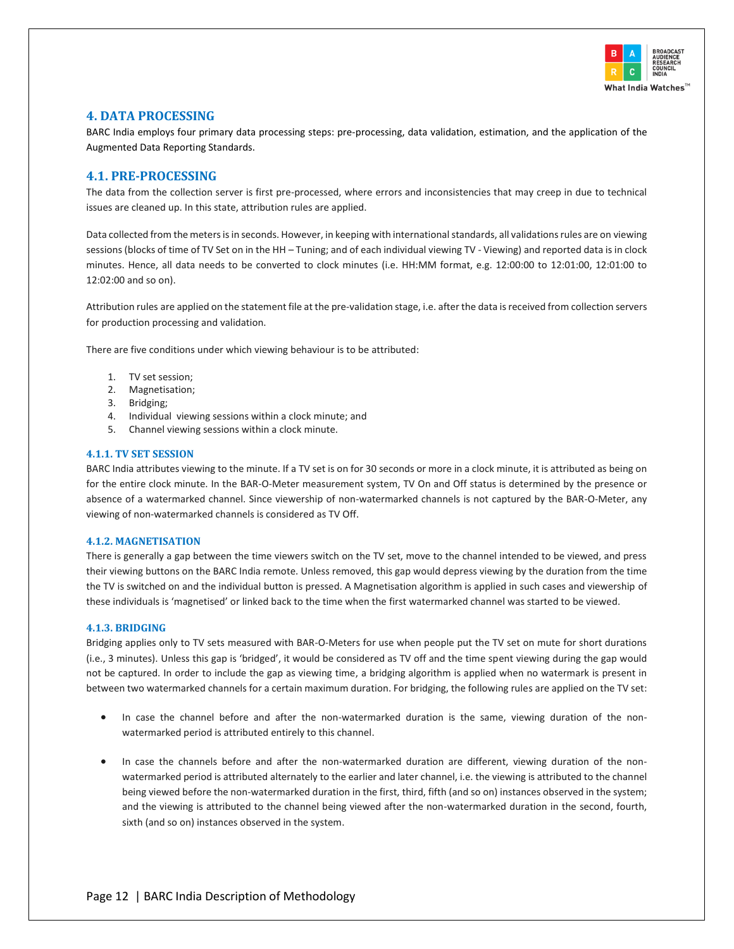

# <span id="page-15-0"></span>**4. DATA PROCESSING**

BARC India employs four primary data processing steps: pre-processing, data validation, estimation, and the application of the Augmented Data Reporting Standards.

# <span id="page-15-1"></span>**4.1. PRE-PROCESSING**

The data from the collection server is first pre-processed, where errors and inconsistencies that may creep in due to technical issues are cleaned up. In this state, attribution rules are applied.

Data collected from the meters is in seconds. However, in keeping with international standards, all validations rules are on viewing sessions (blocks of time of TV Set on in the HH – Tuning; and of each individual viewing TV - Viewing) and reported data is in clock minutes. Hence, all data needs to be converted to clock minutes (i.e. HH:MM format, e.g. 12:00:00 to 12:01:00, 12:01:00 to 12:02:00 and so on).

Attribution rules are applied on the statement file at the pre-validation stage, i.e. after the data is received from collection servers for production processing and validation.

There are five conditions under which viewing behaviour is to be attributed:

- 1. TV set session;
- 2. Magnetisation;
- 3. Bridging;
- 4. Individual viewing sessions within a clock minute; and
- 5. Channel viewing sessions within a clock minute.

#### <span id="page-15-2"></span>**4.1.1. TV SET SESSION**

BARC India attributes viewing to the minute. If a TV set is on for 30 seconds or more in a clock minute, it is attributed as being on for the entire clock minute. In the BAR-O-Meter measurement system, TV On and Off status is determined by the presence or absence of a watermarked channel. Since viewership of non-watermarked channels is not captured by the BAR-O-Meter, any viewing of non-watermarked channels is considered as TV Off.

#### <span id="page-15-3"></span>**4.1.2. MAGNETISATION**

There is generally a gap between the time viewers switch on the TV set, move to the channel intended to be viewed, and press their viewing buttons on the BARC India remote. Unless removed, this gap would depress viewing by the duration from the time the TV is switched on and the individual button is pressed. A Magnetisation algorithm is applied in such cases and viewership of these individuals is 'magnetised' or linked back to the time when the first watermarked channel was started to be viewed.

#### <span id="page-15-4"></span>**4.1.3. BRIDGING**

Bridging applies only to TV sets measured with BAR-O-Meters for use when people put the TV set on mute for short durations (i.e., 3 minutes). Unless this gap is 'bridged', it would be considered as TV off and the time spent viewing during the gap would not be captured. In order to include the gap as viewing time, a bridging algorithm is applied when no watermark is present in between two watermarked channels for a certain maximum duration. For bridging, the following rules are applied on the TV set:

- In case the channel before and after the non-watermarked duration is the same, viewing duration of the nonwatermarked period is attributed entirely to this channel.
- In case the channels before and after the non-watermarked duration are different, viewing duration of the nonwatermarked period is attributed alternately to the earlier and later channel, i.e. the viewing is attributed to the channel being viewed before the non-watermarked duration in the first, third, fifth (and so on) instances observed in the system; and the viewing is attributed to the channel being viewed after the non-watermarked duration in the second, fourth, sixth (and so on) instances observed in the system.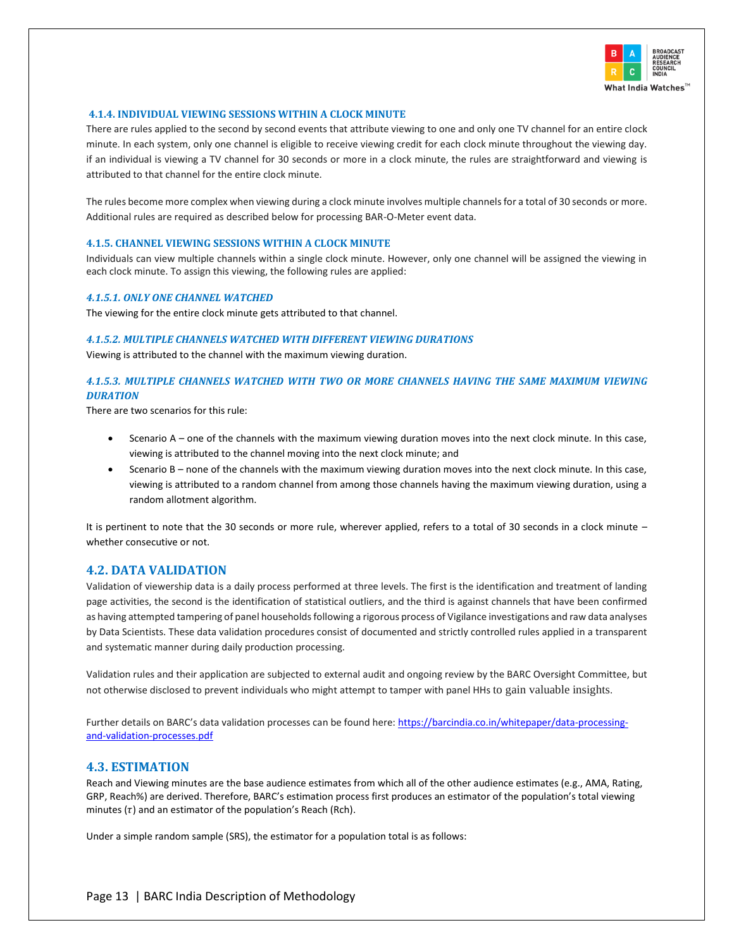

## <span id="page-16-0"></span>**4.1.4. INDIVIDUAL VIEWING SESSIONS WITHIN A CLOCK MINUTE**

There are rules applied to the second by second events that attribute viewing to one and only one TV channel for an entire clock minute. In each system, only one channel is eligible to receive viewing credit for each clock minute throughout the viewing day. if an individual is viewing a TV channel for 30 seconds or more in a clock minute, the rules are straightforward and viewing is attributed to that channel for the entire clock minute.

The rules become more complex when viewing during a clock minute involves multiple channels for a total of 30 seconds or more. Additional rules are required as described below for processing BAR-O-Meter event data.

#### <span id="page-16-1"></span>**4.1.5. CHANNEL VIEWING SESSIONS WITHIN A CLOCK MINUTE**

Individuals can view multiple channels within a single clock minute. However, only one channel will be assigned the viewing in each clock minute. To assign this viewing, the following rules are applied:

#### *4.1.5.1. ONLY ONE CHANNEL WATCHED*

The viewing for the entire clock minute gets attributed to that channel.

#### *4.1.5.2. MULTIPLE CHANNELS WATCHED WITH DIFFERENT VIEWING DURATIONS*

Viewing is attributed to the channel with the maximum viewing duration.

## *4.1.5.3. MULTIPLE CHANNELS WATCHED WITH TWO OR MORE CHANNELS HAVING THE SAME MAXIMUM VIEWING DURATION*

There are two scenarios for this rule:

- Scenario A one of the channels with the maximum viewing duration moves into the next clock minute. In this case, viewing is attributed to the channel moving into the next clock minute; and
- Scenario B none of the channels with the maximum viewing duration moves into the next clock minute. In this case, viewing is attributed to a random channel from among those channels having the maximum viewing duration, using a random allotment algorithm.

It is pertinent to note that the 30 seconds or more rule, wherever applied, refers to a total of 30 seconds in a clock minute – whether consecutive or not.

#### <span id="page-16-2"></span>**4.2. DATA VALIDATION**

Validation of viewership data is a daily process performed at three levels. The first is the identification and treatment of landing page activities, the second is the identification of statistical outliers, and the third is against channels that have been confirmed as having attempted tampering of panel households following a rigorous process of Vigilance investigations and raw data analyses by Data Scientists. These data validation procedures consist of documented and strictly controlled rules applied in a transparent and systematic manner during daily production processing.

Validation rules and their application are subjected to external audit and ongoing review by the BARC Oversight Committee, but not otherwise disclosed to prevent individuals who might attempt to tamper with panel HHs to gain valuable insights.

Further details on BARC's data validation processes can be found here: [https://barcindia.co.in/whitepaper/data-processing](https://barcindia.co.in/whitepaper/data-processing-and-validation-processes.pdf)[and-validation-processes.pdf](https://barcindia.co.in/whitepaper/data-processing-and-validation-processes.pdf)

# <span id="page-16-3"></span>**4.3. ESTIMATION**

Reach and Viewing minutes are the base audience estimates from which all of the other audience estimates (e.g., AMA, Rating, GRP, Reach%) are derived. Therefore, BARC's estimation process first produces an estimator of the population's total viewing minutes  $(\tau)$  and an estimator of the population's Reach (Rch).

Under a simple random sample (SRS), the estimator for a population total is as follows: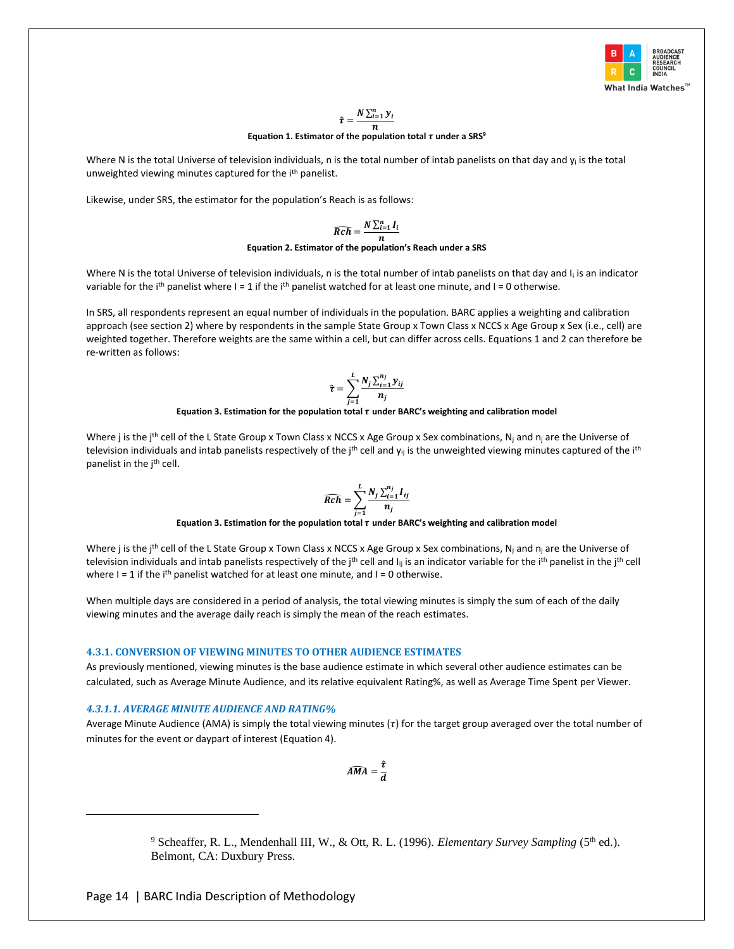

#### $\hat{\tau} = \frac{N \sum_{i=1}^{n} y_i}{N}$  $\boldsymbol{n}$

#### **Equation 1. Estimator of the population total**  $\tau$  **under a SRS<sup>9</sup>**

Where N is the total Universe of television individuals, n is the total number of intab panelists on that day and  $y_i$  is the total unweighted viewing minutes captured for the i<sup>th</sup> panelist.

Likewise, under SRS, the estimator for the population's Reach is as follows:

$$
\widehat{Rch} = \frac{N \sum_{i=1}^{n} I_i}{n}
$$
 Equation 2. Estimator of the population's Reach under a SRS

Where N is the total Universe of television individuals, n is the total number of intab panelists on that day and I<sub>i</sub> is an indicator variable for the i<sup>th</sup> panelist where  $I = 1$  if the i<sup>th</sup> panelist watched for at least one minute, and  $I = 0$  otherwise.

In SRS, all respondents represent an equal number of individuals in the population. BARC applies a weighting and calibration approach (see section 2) where by respondents in the sample State Group x Town Class x NCCS x Age Group x Sex (i.e., cell) are weighted together. Therefore weights are the same within a cell, but can differ across cells. Equations 1 and 2 can therefore be re-written as follows:

$$
\hat{\tau} = \sum_{i=1}^{L} \frac{N_j \sum_{i=1}^{n_j} y_{ij}}{n_j}
$$

# = **Equation 3. Estimation for the population total under BARC's weighting and calibration model**

Where j is the j<sup>th</sup> cell of the L State Group x Town Class x NCCS x Age Group x Sex combinations, N<sub>i</sub> and  $n_i$  are the Universe of television individuals and intab panelists respectively of the  $i<sup>th</sup>$  cell and  $y<sub>ii</sub>$  is the unweighted viewing minutes captured of the  $i<sup>th</sup>$ panelist in the j<sup>th</sup> cell.

$$
\widehat{Rch} = \sum_{i=1}^{L} \frac{N_j \sum_{i=1}^{n_j} I_{ij}}{n_j}
$$

= **Equation 3. Estimation for the population total under BARC's weighting and calibration model**

Where j is the j<sup>th</sup> cell of the L State Group x Town Class x NCCS x Age Group x Sex combinations, N<sub>i</sub> and  $n_i$  are the Universe of television individuals and intab panelists respectively of the j<sup>th</sup> cell and  $I_{ii}$  is an indicator variable for the i<sup>th</sup> panelist in the j<sup>th</sup> cell where  $I = 1$  if the i<sup>th</sup> panelist watched for at least one minute, and  $I = 0$  otherwise.

When multiple days are considered in a period of analysis, the total viewing minutes is simply the sum of each of the daily viewing minutes and the average daily reach is simply the mean of the reach estimates.

#### <span id="page-17-0"></span>**4.3.1. CONVERSION OF VIEWING MINUTES TO OTHER AUDIENCE ESTIMATES**

As previously mentioned, viewing minutes is the base audience estimate in which several other audience estimates can be calculated, such as Average Minute Audience, and its relative equivalent Rating%, as well as Average Time Spent per Viewer.

#### *4.3.1.1. AVERAGE MINUTE AUDIENCE AND RATING%*

Average Minute Audience (AMA) is simply the total viewing minutes ( $\tau$ ) for the target group averaged over the total number of minutes for the event or daypart of interest (Equation 4).

$$
\widehat{AMA}=\frac{\widehat{\tau}}{d}
$$

<sup>9</sup> Scheaffer, R. L., Mendenhall III, W., & Ott, R. L. (1996). *Elementary Survey Sampling* (5<sup>th</sup> ed.). Belmont, CA: Duxbury Press.

Page 14 | BARC India Description of Methodology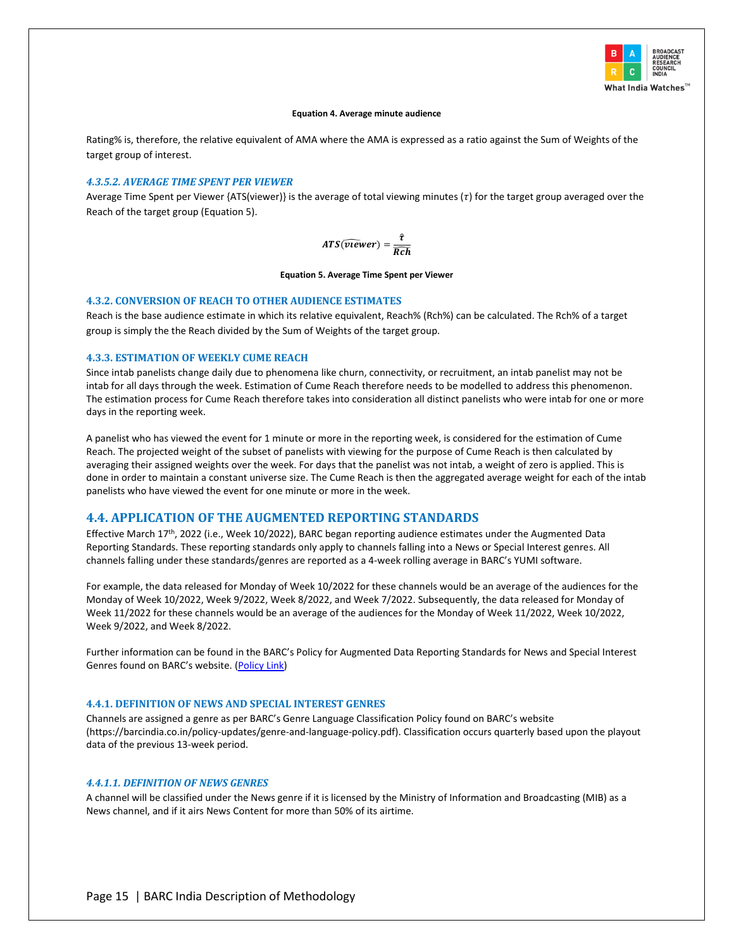

#### **Equation 4. Average minute audience**

Rating% is, therefore, the relative equivalent of AMA where the AMA is expressed as a ratio against the Sum of Weights of the target group of interest.

#### *4.3.5.2. AVERAGE TIME SPENT PER VIEWER*

Average Time Spent per Viewer {ATS(viewer)} is the average of total viewing minutes ( $\tau$ ) for the target group averaged over the Reach of the target group (Equation 5).

$$
ATS(\widehat{v\text{1}ewer}) = \frac{\widehat{\tau}}{\widehat{Rch}}
$$

**Equation 5. Average Time Spent per Viewer**

#### <span id="page-18-0"></span>**4.3.2. CONVERSION OF REACH TO OTHER AUDIENCE ESTIMATES**

Reach is the base audience estimate in which its relative equivalent, Reach% (Rch%) can be calculated. The Rch% of a target group is simply the the Reach divided by the Sum of Weights of the target group.

#### <span id="page-18-1"></span>**4.3.3. ESTIMATION OF WEEKLY CUME REACH**

Since intab panelists change daily due to phenomena like churn, connectivity, or recruitment, an intab panelist may not be intab for all days through the week. Estimation of Cume Reach therefore needs to be modelled to address this phenomenon. The estimation process for Cume Reach therefore takes into consideration all distinct panelists who were intab for one or more days in the reporting week.

A panelist who has viewed the event for 1 minute or more in the reporting week, is considered for the estimation of Cume Reach. The projected weight of the subset of panelists with viewing for the purpose of Cume Reach is then calculated by averaging their assigned weights over the week. For days that the panelist was not intab, a weight of zero is applied. This is done in order to maintain a constant universe size. The Cume Reach is then the aggregated average weight for each of the intab panelists who have viewed the event for one minute or more in the week.

## <span id="page-18-2"></span>**4.4. APPLICATION OF THE AUGMENTED REPORTING STANDARDS**

Effective March 17th, 2022 (i.e., Week 10/2022), BARC began reporting audience estimates under the Augmented Data Reporting Standards. These reporting standards only apply to channels falling into a News or Special Interest genres. All channels falling under these standards/genres are reported as a 4-week rolling average in BARC's YUMI software.

For example, the data released for Monday of Week 10/2022 for these channels would be an average of the audiences for the Monday of Week 10/2022, Week 9/2022, Week 8/2022, and Week 7/2022. Subsequently, the data released for Monday of Week 11/2022 for these channels would be an average of the audiences for the Monday of Week 11/2022, Week 10/2022, Week 9/2022, and Week 8/2022.

Further information can be found in the BARC's Policy for Augmented Data Reporting Standards for News and Special Interest Genres found on BARC's website. [\(Policy Link\)](https://www.barcindia.co.in/policy-updates/barc-india-policy-for-augmented-data-reporting-standards.pdf)

#### <span id="page-18-3"></span>**4.4.1. DEFINITION OF NEWS AND SPECIAL INTEREST GENRES**

Channels are assigned a genre as per BARC's Genre Language Classification Policy found on BARC's website (https://barcindia.co.in/policy-updates/genre-and-language-policy.pdf). Classification occurs quarterly based upon the playout data of the previous 13-week period.

#### *4.4.1.1. DEFINITION OF NEWS GENRES*

A channel will be classified under the News genre if it is licensed by the Ministry of Information and Broadcasting (MIB) as a News channel, and if it airs News Content for more than 50% of its airtime.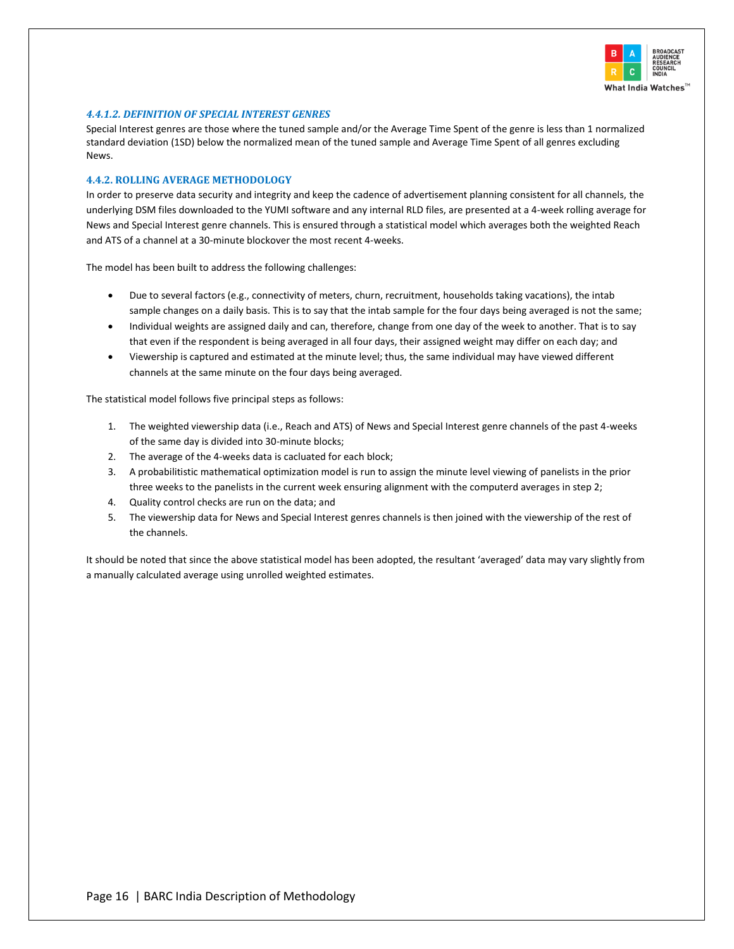

## *4.4.1.2. DEFINITION OF SPECIAL INTEREST GENRES*

Special Interest genres are those where the tuned sample and/or the Average Time Spent of the genre is less than 1 normalized standard deviation (1SD) below the normalized mean of the tuned sample and Average Time Spent of all genres excluding News.

#### <span id="page-19-0"></span>**4.4.2. ROLLING AVERAGE METHODOLOGY**

In order to preserve data security and integrity and keep the cadence of advertisement planning consistent for all channels, the underlying DSM files downloaded to the YUMI software and any internal RLD files, are presented at a 4-week rolling average for News and Special Interest genre channels. This is ensured through a statistical model which averages both the weighted Reach and ATS of a channel at a 30-minute blockover the most recent 4-weeks.

The model has been built to address the following challenges:

- Due to several factors (e.g., connectivity of meters, churn, recruitment, households taking vacations), the intab sample changes on a daily basis. This is to say that the intab sample for the four days being averaged is not the same;
- Individual weights are assigned daily and can, therefore, change from one day of the week to another. That is to say that even if the respondent is being averaged in all four days, their assigned weight may differ on each day; and
- Viewership is captured and estimated at the minute level; thus, the same individual may have viewed different channels at the same minute on the four days being averaged.

The statistical model follows five principal steps as follows:

- 1. The weighted viewership data (i.e., Reach and ATS) of News and Special Interest genre channels of the past 4-weeks of the same day is divided into 30-minute blocks;
- 2. The average of the 4-weeks data is cacluated for each block;
- 3. A probabilitistic mathematical optimization model is run to assign the minute level viewing of panelists in the prior three weeks to the panelists in the current week ensuring alignment with the computerd averages in step 2;
- 4. Quality control checks are run on the data; and
- 5. The viewership data for News and Special Interest genres channels is then joined with the viewership of the rest of the channels.

It should be noted that since the above statistical model has been adopted, the resultant 'averaged' data may vary slightly from a manually calculated average using unrolled weighted estimates.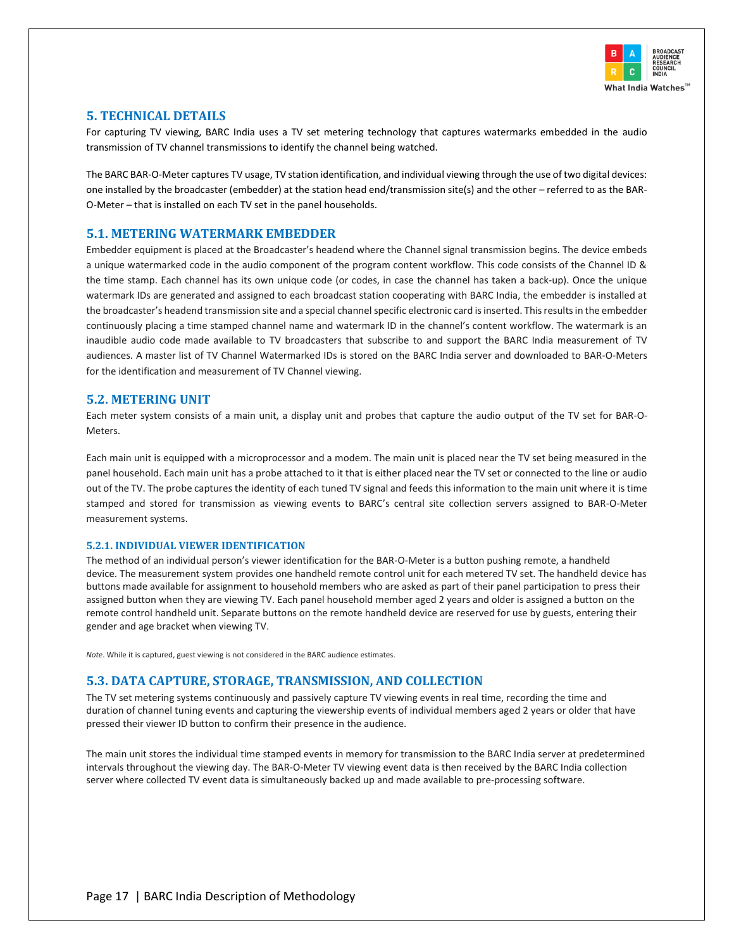

# <span id="page-20-0"></span>**5. TECHNICAL DETAILS**

For capturing TV viewing, BARC India uses a TV set metering technology that captures watermarks embedded in the audio transmission of TV channel transmissions to identify the channel being watched.

The BARC BAR-O-Meter captures TV usage, TV station identification, and individual viewing through the use of two digital devices: one installed by the broadcaster (embedder) at the station head end/transmission site(s) and the other – referred to as the BAR-O-Meter – that is installed on each TV set in the panel households.

# <span id="page-20-1"></span>**5.1. METERING WATERMARK EMBEDDER**

Embedder equipment is placed at the Broadcaster's headend where the Channel signal transmission begins. The device embeds a unique watermarked code in the audio component of the program content workflow. This code consists of the Channel ID & the time stamp. Each channel has its own unique code (or codes, in case the channel has taken a back-up). Once the unique watermark IDs are generated and assigned to each broadcast station cooperating with BARC India, the embedder is installed at the broadcaster's headend transmission site and a special channel specific electronic card is inserted. Thisresults in the embedder continuously placing a time stamped channel name and watermark ID in the channel's content workflow. The watermark is an inaudible audio code made available to TV broadcasters that subscribe to and support the BARC India measurement of TV audiences. A master list of TV Channel Watermarked IDs is stored on the BARC India server and downloaded to BAR-O-Meters for the identification and measurement of TV Channel viewing.

# <span id="page-20-2"></span>**5.2. METERING UNIT**

Each meter system consists of a main unit, a display unit and probes that capture the audio output of the TV set for BAR-O-Meters.

Each main unit is equipped with a microprocessor and a modem. The main unit is placed near the TV set being measured in the panel household. Each main unit has a probe attached to it that is either placed near the TV set or connected to the line or audio out of the TV. The probe captures the identity of each tuned TV signal and feeds this information to the main unit where it is time stamped and stored for transmission as viewing events to BARC's central site collection servers assigned to BAR-O-Meter measurement systems.

#### <span id="page-20-3"></span>**5.2.1. INDIVIDUAL VIEWER IDENTIFICATION**

The method of an individual person's viewer identification for the BAR-O-Meter is a button pushing remote, a handheld device. The measurement system provides one handheld remote control unit for each metered TV set. The handheld device has buttons made available for assignment to household members who are asked as part of their panel participation to press their assigned button when they are viewing TV. Each panel household member aged 2 years and older is assigned a button on the remote control handheld unit. Separate buttons on the remote handheld device are reserved for use by guests, entering their gender and age bracket when viewing TV.

*Note*. While it is captured, guest viewing is not considered in the BARC audience estimates.

# <span id="page-20-4"></span>**5.3. DATA CAPTURE, STORAGE, TRANSMISSION, AND COLLECTION**

The TV set metering systems continuously and passively capture TV viewing events in real time, recording the time and duration of channel tuning events and capturing the viewership events of individual members aged 2 years or older that have pressed their viewer ID button to confirm their presence in the audience.

The main unit stores the individual time stamped events in memory for transmission to the BARC India server at predetermined intervals throughout the viewing day. The BAR-O-Meter TV viewing event data is then received by the BARC India collection server where collected TV event data is simultaneously backed up and made available to pre-processing software.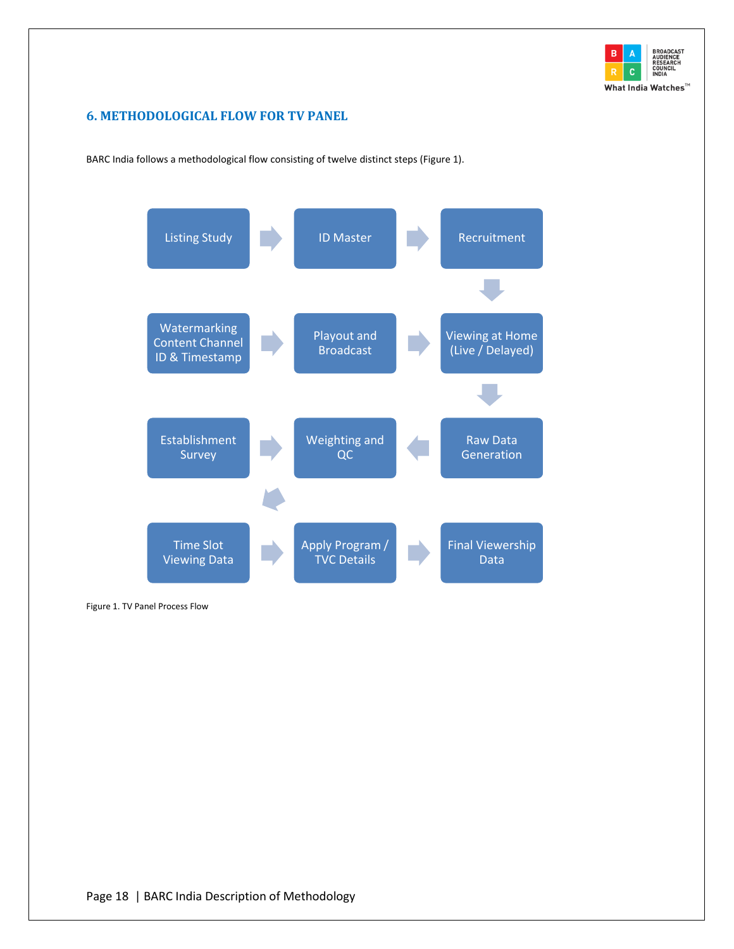

# <span id="page-21-0"></span>**6. METHODOLOGICAL FLOW FOR TV PANEL**

BARC India follows a methodological flow consisting of twelve distinct steps [\(Figure 1\)](#page-21-1).



<span id="page-21-1"></span>Figure 1. TV Panel Process Flow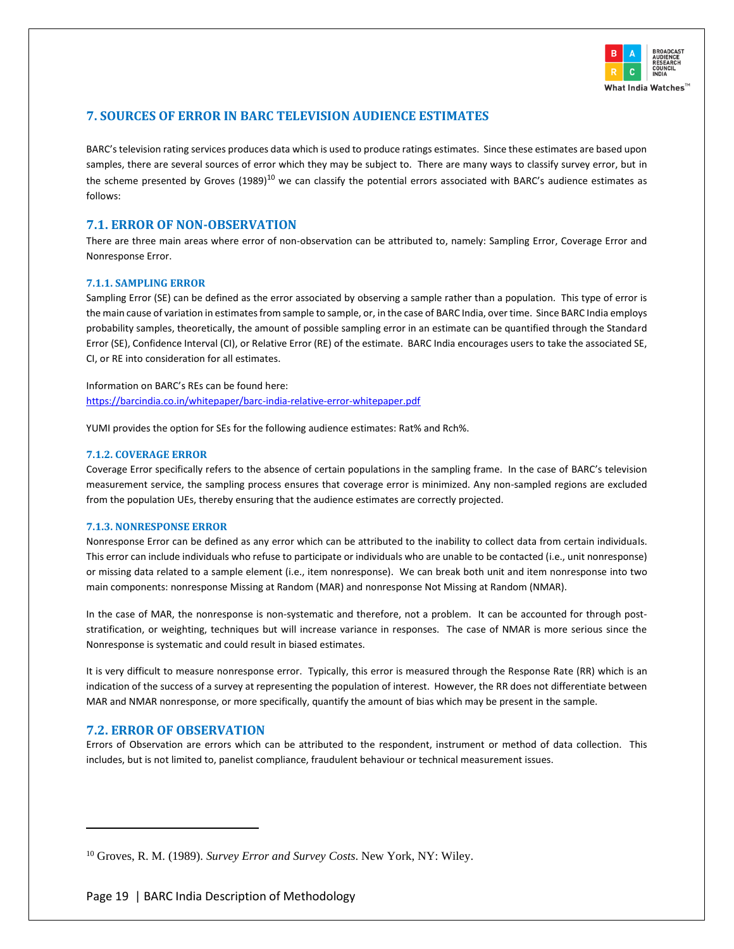

# <span id="page-22-0"></span>**7. SOURCES OF ERROR IN BARC TELEVISION AUDIENCE ESTIMATES**

BARC's television rating services produces data which is used to produce ratings estimates. Since these estimates are based upon samples, there are several sources of error which they may be subject to. There are many ways to classify survey error, but in the scheme presented by Groves  $(1989)^{10}$  we can classify the potential errors associated with BARC's audience estimates as follows:

# <span id="page-22-1"></span>**7.1. ERROR OF NON-OBSERVATION**

There are three main areas where error of non-observation can be attributed to, namely: Sampling Error, Coverage Error and Nonresponse Error.

#### <span id="page-22-2"></span>**7.1.1. SAMPLING ERROR**

Sampling Error (SE) can be defined as the error associated by observing a sample rather than a population. This type of error is the main cause of variation in estimates from sample to sample, or, in the case of BARC India, over time. Since BARC India employs probability samples, theoretically, the amount of possible sampling error in an estimate can be quantified through the Standard Error (SE), Confidence Interval (CI), or Relative Error (RE) of the estimate. BARC India encourages users to take the associated SE, CI, or RE into consideration for all estimates.

Information on BARC's REs can be found here: <https://barcindia.co.in/whitepaper/barc-india-relative-error-whitepaper.pdf>

YUMI provides the option for SEs for the following audience estimates: Rat% and Rch%.

#### <span id="page-22-3"></span>**7.1.2. COVERAGE ERROR**

Coverage Error specifically refers to the absence of certain populations in the sampling frame. In the case of BARC's television measurement service, the sampling process ensures that coverage error is minimized. Any non-sampled regions are excluded from the population UEs, thereby ensuring that the audience estimates are correctly projected.

#### <span id="page-22-4"></span>**7.1.3. NONRESPONSE ERROR**

Nonresponse Error can be defined as any error which can be attributed to the inability to collect data from certain individuals. This error can include individuals who refuse to participate or individuals who are unable to be contacted (i.e., unit nonresponse) or missing data related to a sample element (i.e., item nonresponse). We can break both unit and item nonresponse into two main components: nonresponse Missing at Random (MAR) and nonresponse Not Missing at Random (NMAR).

In the case of MAR, the nonresponse is non-systematic and therefore, not a problem. It can be accounted for through poststratification, or weighting, techniques but will increase variance in responses. The case of NMAR is more serious since the Nonresponse is systematic and could result in biased estimates.

It is very difficult to measure nonresponse error. Typically, this error is measured through the Response Rate (RR) which is an indication of the success of a survey at representing the population of interest. However, the RR does not differentiate between MAR and NMAR nonresponse, or more specifically, quantify the amount of bias which may be present in the sample.

#### **7.2. ERROR OF OBSERVATION**

Errors of Observation are errors which can be attributed to the respondent, instrument or method of data collection. This includes, but is not limited to, panelist compliance, fraudulent behaviour or technical measurement issues.

<sup>10</sup> Groves, R. M. (1989). *Survey Error and Survey Costs*. New York, NY: Wiley.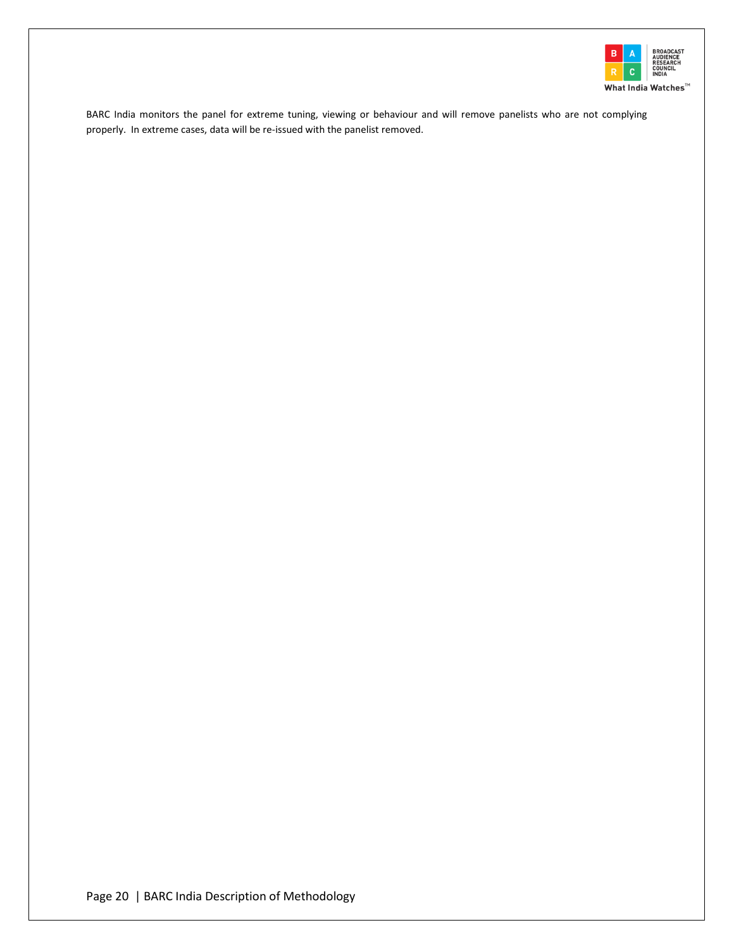

BARC India monitors the panel for extreme tuning, viewing or behaviour and will remove panelists who are not complying properly. In extreme cases, data will be re-issued with the panelist removed.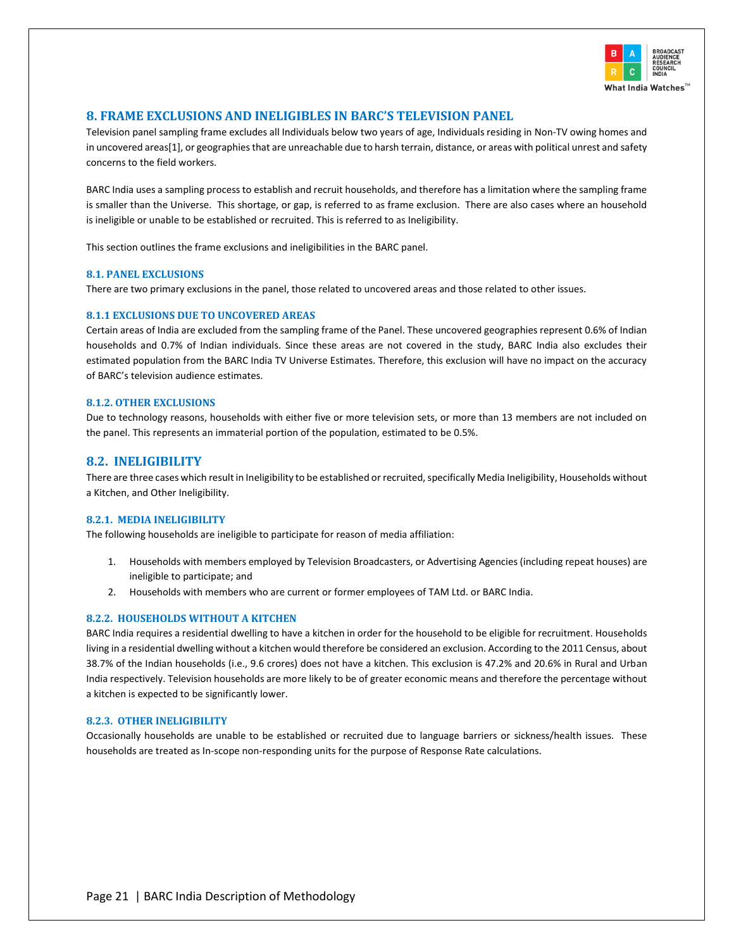

# <span id="page-24-0"></span>**8. FRAME EXCLUSIONS AND INELIGIBLES IN BARC'S TELEVISION PANEL**

Television panel sampling frame excludes all Individuals below two years of age, Individuals residing in Non-TV owing homes and in uncovered areas[1], or geographies that are unreachable due to harsh terrain, distance, or areas with political unrest and safety concerns to the field workers.

BARC India uses a sampling process to establish and recruit households, and therefore has a limitation where the sampling frame is smaller than the Universe. This shortage, or gap, is referred to as frame exclusion. There are also cases where an household is ineligible or unable to be established or recruited. This is referred to as Ineligibility.

This section outlines the frame exclusions and ineligibilities in the BARC panel.

#### <span id="page-24-1"></span>**8.1. PANEL EXCLUSIONS**

There are two primary exclusions in the panel, those related to uncovered areas and those related to other issues.

#### **8.1.1 EXCLUSIONS DUE TO UNCOVERED AREAS**

Certain areas of India are excluded from the sampling frame of the Panel. These uncovered geographies represent 0.6% of Indian households and 0.7% of Indian individuals. Since these areas are not covered in the study, BARC India also excludes their estimated population from the BARC India TV Universe Estimates. Therefore, this exclusion will have no impact on the accuracy of BARC's television audience estimates.

#### **8.1.2. OTHER EXCLUSIONS**

Due to technology reasons, households with either five or more television sets, or more than 13 members are not included on the panel. This represents an immaterial portion of the population, estimated to be 0.5%.

#### <span id="page-24-2"></span>**8.2. INELIGIBILITY**

There are three cases which result in Ineligibility to be established or recruited, specifically Media Ineligibility, Households without a Kitchen, and Other Ineligibility.

#### <span id="page-24-3"></span>**8.2.1. MEDIA INELIGIBILITY**

The following households are ineligible to participate for reason of media affiliation:

- 1. Households with members employed by Television Broadcasters, or Advertising Agencies (including repeat houses) are ineligible to participate; and
- 2. Households with members who are current or former employees of TAM Ltd. or BARC India.

#### <span id="page-24-4"></span>**8.2.2. HOUSEHOLDS WITHOUT A KITCHEN**

BARC India requires a residential dwelling to have a kitchen in order for the household to be eligible for recruitment. Households living in a residential dwelling without a kitchen would therefore be considered an exclusion. According to the 2011 Census, about 38.7% of the Indian households (i.e., 9.6 crores) does not have a kitchen. This exclusion is 47.2% and 20.6% in Rural and Urban India respectively. Television households are more likely to be of greater economic means and therefore the percentage without a kitchen is expected to be significantly lower.

#### <span id="page-24-5"></span>**8.2.3. OTHER INELIGIBILITY**

Occasionally households are unable to be established or recruited due to language barriers or sickness/health issues. These households are treated as In-scope non-responding units for the purpose of Response Rate calculations.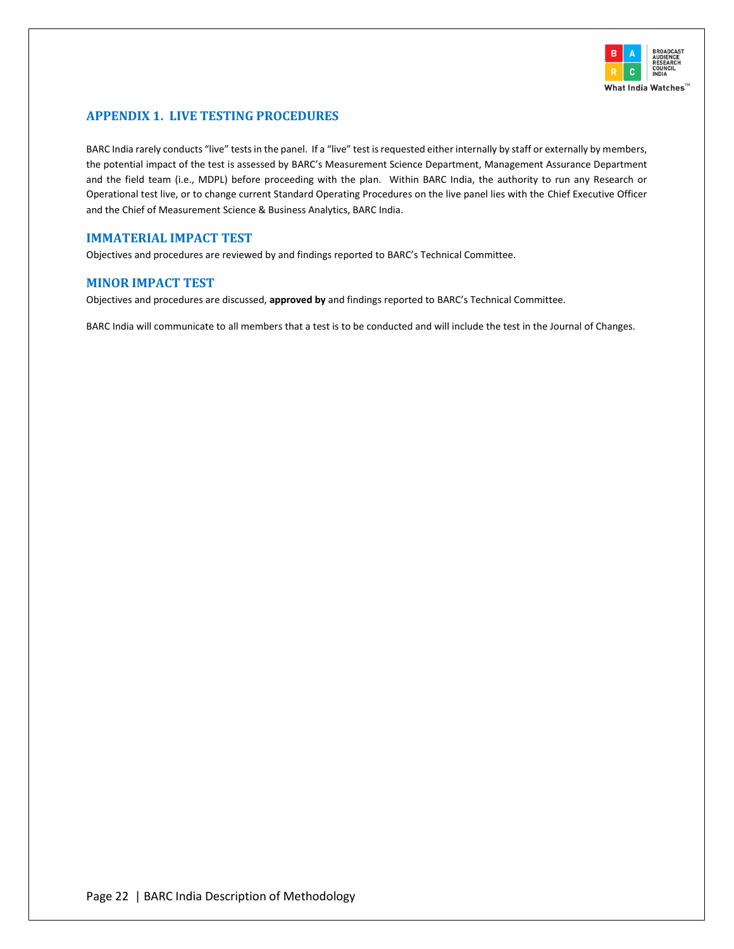

# <span id="page-25-0"></span>**APPENDIX 1. LIVE TESTING PROCEDURES**

BARC India rarely conducts "live" tests in the panel. If a "live" test is requested either internally by staff or externally by members, the potential impact of the test is assessed by BARC's Measurement Science Department, Management Assurance Department and the field team (i.e., MDPL) before proceeding with the plan. Within BARC India, the authority to run any Research or Operational test live, or to change current Standard Operating Procedures on the live panel lies with the Chief Executive Officer and the Chief of Measurement Science & Business Analytics, BARC India.

# <span id="page-25-1"></span>**IMMATERIAL IMPACT TEST**

Objectives and procedures are reviewed by and findings reported to BARC's Technical Committee.

# <span id="page-25-2"></span>**MINOR IMPACT TEST**

Objectives and procedures are discussed, **approved by** and findings reported to BARC's Technical Committee.

BARC India will communicate to all members that a test is to be conducted and will include the test in the Journal of Changes.